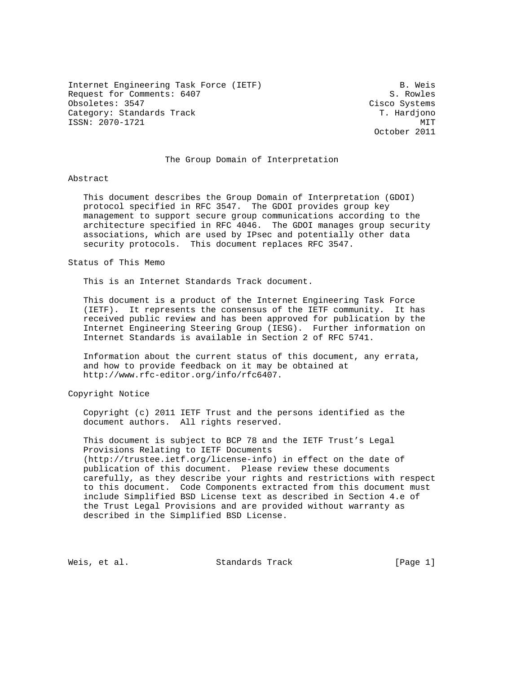Internet Engineering Task Force (IETF) B. Weis Request for Comments: 6407 S. Rowles Obsoletes: 3547 Cisco Systems Category: Standards Track T. Hardjono ISSN: 2070-1721 MIT

October 2011

#### The Group Domain of Interpretation

# Abstract

 This document describes the Group Domain of Interpretation (GDOI) protocol specified in RFC 3547. The GDOI provides group key management to support secure group communications according to the architecture specified in RFC 4046. The GDOI manages group security associations, which are used by IPsec and potentially other data security protocols. This document replaces RFC 3547.

#### Status of This Memo

This is an Internet Standards Track document.

 This document is a product of the Internet Engineering Task Force (IETF). It represents the consensus of the IETF community. It has received public review and has been approved for publication by the Internet Engineering Steering Group (IESG). Further information on Internet Standards is available in Section 2 of RFC 5741.

 Information about the current status of this document, any errata, and how to provide feedback on it may be obtained at http://www.rfc-editor.org/info/rfc6407.

Copyright Notice

 Copyright (c) 2011 IETF Trust and the persons identified as the document authors. All rights reserved.

 This document is subject to BCP 78 and the IETF Trust's Legal Provisions Relating to IETF Documents (http://trustee.ietf.org/license-info) in effect on the date of publication of this document. Please review these documents carefully, as they describe your rights and restrictions with respect to this document. Code Components extracted from this document must include Simplified BSD License text as described in Section 4.e of the Trust Legal Provisions and are provided without warranty as described in the Simplified BSD License.

Weis, et al. Standards Track [Page 1]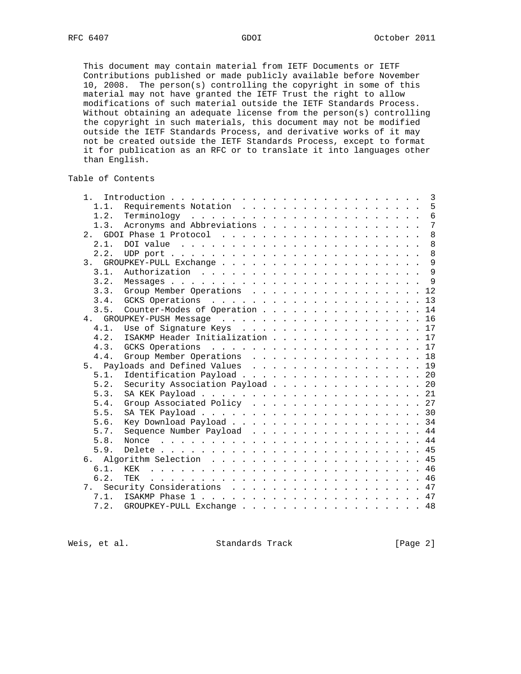This document may contain material from IETF Documents or IETF Contributions published or made publicly available before November 10, 2008. The person(s) controlling the copyright in some of this material may not have granted the IETF Trust the right to allow modifications of such material outside the IETF Standards Process. Without obtaining an adequate license from the person(s) controlling the copyright in such materials, this document may not be modified outside the IETF Standards Process, and derivative works of it may not be created outside the IETF Standards Process, except to format it for publication as an RFC or to translate it into languages other than English.

# Table of Contents

| 1.             |                                                                     |  |  |  |  |  |  |  |                 |
|----------------|---------------------------------------------------------------------|--|--|--|--|--|--|--|-----------------|
| 1.1.           | Requirements Notation 5                                             |  |  |  |  |  |  |  |                 |
| 1.2.           |                                                                     |  |  |  |  |  |  |  | $6\phantom{1}6$ |
| 1.3.           | Acronyms and Abbreviations                                          |  |  |  |  |  |  |  | $7\phantom{.0}$ |
| 2.1            |                                                                     |  |  |  |  |  |  |  | 8               |
| 2.1.           | DOI value $\ldots \ldots \ldots \ldots \ldots \ldots \ldots \ldots$ |  |  |  |  |  |  |  | 8               |
| 2.2.           |                                                                     |  |  |  |  |  |  |  |                 |
| 3.             |                                                                     |  |  |  |  |  |  |  |                 |
| 3.1.           |                                                                     |  |  |  |  |  |  |  |                 |
| 3.2.           |                                                                     |  |  |  |  |  |  |  | 9               |
| 3.3.           | Group Member Operations 12                                          |  |  |  |  |  |  |  |                 |
| 3.4.           |                                                                     |  |  |  |  |  |  |  |                 |
| 3.5.           | Counter-Modes of Operation 14                                       |  |  |  |  |  |  |  |                 |
|                |                                                                     |  |  |  |  |  |  |  |                 |
| 4.1.           | Use of Signature Keys 17                                            |  |  |  |  |  |  |  |                 |
| 4.2.           | ISAKMP Header Initialization 17                                     |  |  |  |  |  |  |  |                 |
| 4.3.           |                                                                     |  |  |  |  |  |  |  |                 |
| 4.4.           | Group Member Operations 18                                          |  |  |  |  |  |  |  |                 |
| 5.             | Payloads and Defined Values 19                                      |  |  |  |  |  |  |  |                 |
| 5.1.           | Identification Payload 20                                           |  |  |  |  |  |  |  |                 |
| 5.2.           | Security Association Payload 20                                     |  |  |  |  |  |  |  |                 |
| 5.3.           |                                                                     |  |  |  |  |  |  |  |                 |
| 5.4.           | Group Associated Policy 27                                          |  |  |  |  |  |  |  |                 |
| 5.5.           |                                                                     |  |  |  |  |  |  |  |                 |
| 5.6.           | Key Download Payload 34                                             |  |  |  |  |  |  |  |                 |
| 5.7.           | Sequence Number Payload 44                                          |  |  |  |  |  |  |  |                 |
| 5.8.           |                                                                     |  |  |  |  |  |  |  |                 |
| 5.9.           |                                                                     |  |  |  |  |  |  |  |                 |
| 6.             |                                                                     |  |  |  |  |  |  |  |                 |
| 6.1.           | KEK                                                                 |  |  |  |  |  |  |  |                 |
| 6.2.           | <b>TEK</b>                                                          |  |  |  |  |  |  |  |                 |
| 7 <sub>1</sub> | Security Considerations 47                                          |  |  |  |  |  |  |  |                 |
| 7.1.           |                                                                     |  |  |  |  |  |  |  |                 |
|                | 7.2. GROUPKEY-PULL Exchange 48                                      |  |  |  |  |  |  |  |                 |
|                |                                                                     |  |  |  |  |  |  |  |                 |

Weis, et al. Standards Track [Page 2]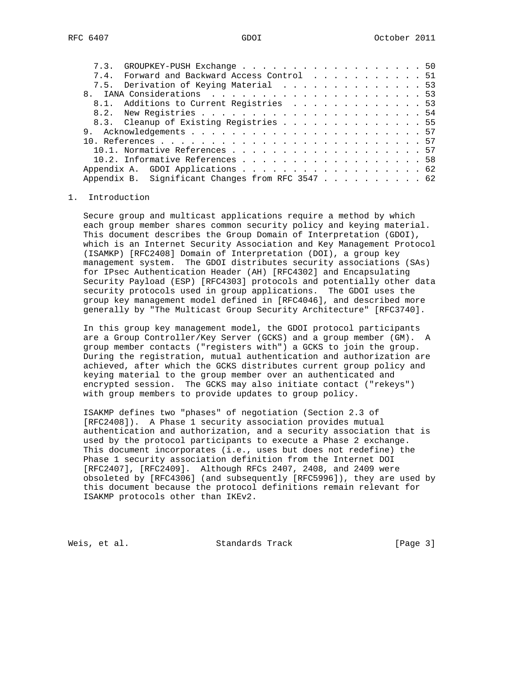| 7.3. GROUPKEY-PUSH Exchange 50                   |  |
|--------------------------------------------------|--|
| 7.4. Forward and Backward Access Control 51      |  |
| 7.5. Derivation of Keying Material 53            |  |
|                                                  |  |
| 8.1. Additions to Current Registries 53          |  |
|                                                  |  |
| 8.3. Cleanup of Existing Registries 55           |  |
|                                                  |  |
|                                                  |  |
| 10.1. Normative References 57                    |  |
| 10.2. Informative References 58                  |  |
| Appendix A. GDOI Applications 62                 |  |
| Appendix B. Significant Changes from RFC 3547 62 |  |

#### 1. Introduction

 Secure group and multicast applications require a method by which each group member shares common security policy and keying material. This document describes the Group Domain of Interpretation (GDOI), which is an Internet Security Association and Key Management Protocol (ISAMKP) [RFC2408] Domain of Interpretation (DOI), a group key management system. The GDOI distributes security associations (SAs) for IPsec Authentication Header (AH) [RFC4302] and Encapsulating Security Payload (ESP) [RFC4303] protocols and potentially other data security protocols used in group applications. The GDOI uses the group key management model defined in [RFC4046], and described more generally by "The Multicast Group Security Architecture" [RFC3740].

 In this group key management model, the GDOI protocol participants are a Group Controller/Key Server (GCKS) and a group member (GM). A group member contacts ("registers with") a GCKS to join the group. During the registration, mutual authentication and authorization are achieved, after which the GCKS distributes current group policy and keying material to the group member over an authenticated and encrypted session. The GCKS may also initiate contact ("rekeys") with group members to provide updates to group policy.

 ISAKMP defines two "phases" of negotiation (Section 2.3 of [RFC2408]). A Phase 1 security association provides mutual authentication and authorization, and a security association that is used by the protocol participants to execute a Phase 2 exchange. This document incorporates (i.e., uses but does not redefine) the Phase 1 security association definition from the Internet DOI [RFC2407], [RFC2409]. Although RFCs 2407, 2408, and 2409 were obsoleted by [RFC4306] (and subsequently [RFC5996]), they are used by this document because the protocol definitions remain relevant for ISAKMP protocols other than IKEv2.

Weis, et al. Standards Track [Page 3]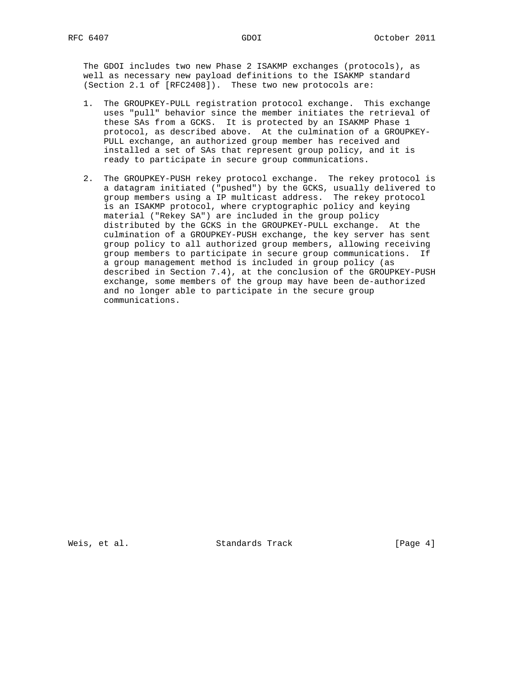The GDOI includes two new Phase 2 ISAKMP exchanges (protocols), as well as necessary new payload definitions to the ISAKMP standard (Section 2.1 of [RFC2408]). These two new protocols are:

- 1. The GROUPKEY-PULL registration protocol exchange. This exchange uses "pull" behavior since the member initiates the retrieval of these SAs from a GCKS. It is protected by an ISAKMP Phase 1 protocol, as described above. At the culmination of a GROUPKEY- PULL exchange, an authorized group member has received and installed a set of SAs that represent group policy, and it is ready to participate in secure group communications.
- 2. The GROUPKEY-PUSH rekey protocol exchange. The rekey protocol is a datagram initiated ("pushed") by the GCKS, usually delivered to group members using a IP multicast address. The rekey protocol is an ISAKMP protocol, where cryptographic policy and keying material ("Rekey SA") are included in the group policy distributed by the GCKS in the GROUPKEY-PULL exchange. At the culmination of a GROUPKEY-PUSH exchange, the key server has sent group policy to all authorized group members, allowing receiving group members to participate in secure group communications. If a group management method is included in group policy (as described in Section 7.4), at the conclusion of the GROUPKEY-PUSH exchange, some members of the group may have been de-authorized and no longer able to participate in the secure group communications.

Weis, et al. Standards Track [Page 4]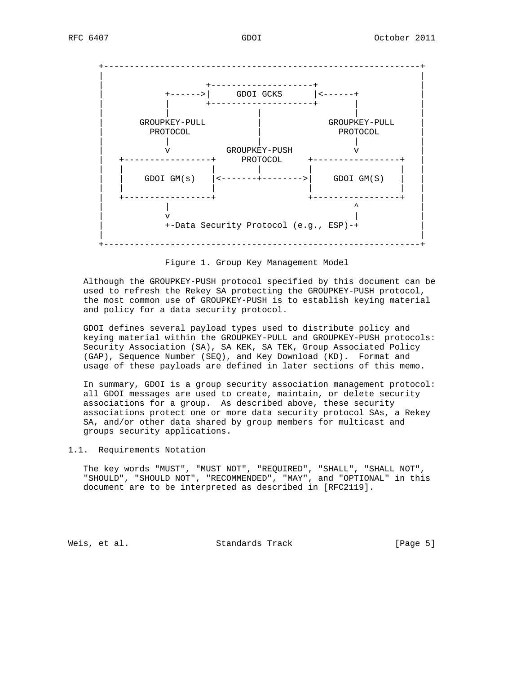

Figure 1. Group Key Management Model

 Although the GROUPKEY-PUSH protocol specified by this document can be used to refresh the Rekey SA protecting the GROUPKEY-PUSH protocol, the most common use of GROUPKEY-PUSH is to establish keying material and policy for a data security protocol.

 GDOI defines several payload types used to distribute policy and keying material within the GROUPKEY-PULL and GROUPKEY-PUSH protocols: Security Association (SA), SA KEK, SA TEK, Group Associated Policy (GAP), Sequence Number (SEQ), and Key Download (KD). Format and usage of these payloads are defined in later sections of this memo.

 In summary, GDOI is a group security association management protocol: all GDOI messages are used to create, maintain, or delete security associations for a group. As described above, these security associations protect one or more data security protocol SAs, a Rekey SA, and/or other data shared by group members for multicast and groups security applications.

## 1.1. Requirements Notation

 The key words "MUST", "MUST NOT", "REQUIRED", "SHALL", "SHALL NOT", "SHOULD", "SHOULD NOT", "RECOMMENDED", "MAY", and "OPTIONAL" in this document are to be interpreted as described in [RFC2119].

Weis, et al. Standards Track [Page 5]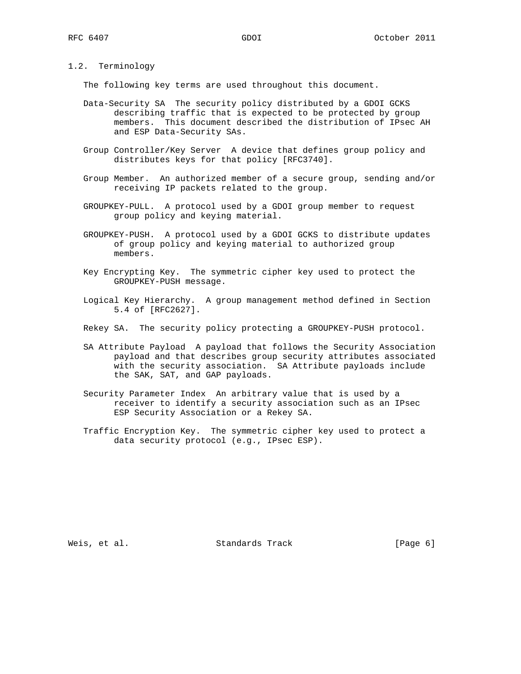#### 1.2. Terminology

The following key terms are used throughout this document.

- Data-Security SA The security policy distributed by a GDOI GCKS describing traffic that is expected to be protected by group members. This document described the distribution of IPsec AH and ESP Data-Security SAs.
- Group Controller/Key Server A device that defines group policy and distributes keys for that policy [RFC3740].
- Group Member. An authorized member of a secure group, sending and/or receiving IP packets related to the group.
- GROUPKEY-PULL. A protocol used by a GDOI group member to request group policy and keying material.
- GROUPKEY-PUSH. A protocol used by a GDOI GCKS to distribute updates of group policy and keying material to authorized group members.
- Key Encrypting Key. The symmetric cipher key used to protect the GROUPKEY-PUSH message.
- Logical Key Hierarchy. A group management method defined in Section 5.4 of [RFC2627].
- Rekey SA. The security policy protecting a GROUPKEY-PUSH protocol.
- SA Attribute Payload A payload that follows the Security Association payload and that describes group security attributes associated with the security association. SA Attribute payloads include the SAK, SAT, and GAP payloads.
- Security Parameter Index An arbitrary value that is used by a receiver to identify a security association such as an IPsec ESP Security Association or a Rekey SA.
- Traffic Encryption Key. The symmetric cipher key used to protect a data security protocol (e.g., IPsec ESP).

Weis, et al. Standards Track [Page 6]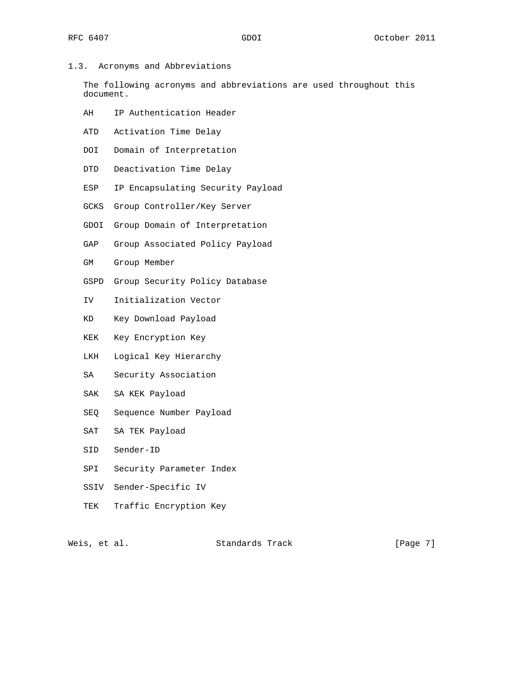## 1.3. Acronyms and Abbreviations

 The following acronyms and abbreviations are used throughout this document.

- AH IP Authentication Header
- ATD Activation Time Delay
- DOI Domain of Interpretation
- DTD Deactivation Time Delay
- ESP IP Encapsulating Security Payload
- GCKS Group Controller/Key Server
- GDOI Group Domain of Interpretation
- GAP Group Associated Policy Payload
- GM Group Member
- GSPD Group Security Policy Database
- IV Initialization Vector
- KD Key Download Payload
- KEK Key Encryption Key
- LKH Logical Key Hierarchy
- SA Security Association
- SAK SA KEK Payload
- SEQ Sequence Number Payload
- SAT SA TEK Payload
- SID Sender-ID
- SPI Security Parameter Index
- SSIV Sender-Specific IV
- TEK Traffic Encryption Key

Weis, et al. Standards Track [Page 7]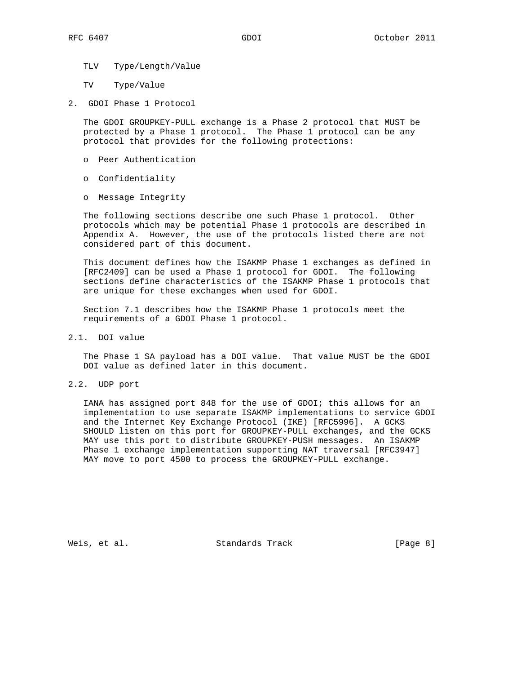- TLV Type/Length/Value
- TV Type/Value
- 2. GDOI Phase 1 Protocol

 The GDOI GROUPKEY-PULL exchange is a Phase 2 protocol that MUST be protected by a Phase 1 protocol. The Phase 1 protocol can be any protocol that provides for the following protections:

- o Peer Authentication
- o Confidentiality
- o Message Integrity

 The following sections describe one such Phase 1 protocol. Other protocols which may be potential Phase 1 protocols are described in Appendix A. However, the use of the protocols listed there are not considered part of this document.

 This document defines how the ISAKMP Phase 1 exchanges as defined in [RFC2409] can be used a Phase 1 protocol for GDOI. The following sections define characteristics of the ISAKMP Phase 1 protocols that are unique for these exchanges when used for GDOI.

 Section 7.1 describes how the ISAKMP Phase 1 protocols meet the requirements of a GDOI Phase 1 protocol.

2.1. DOI value

 The Phase 1 SA payload has a DOI value. That value MUST be the GDOI DOI value as defined later in this document.

2.2. UDP port

 IANA has assigned port 848 for the use of GDOI; this allows for an implementation to use separate ISAKMP implementations to service GDOI and the Internet Key Exchange Protocol (IKE) [RFC5996]. A GCKS SHOULD listen on this port for GROUPKEY-PULL exchanges, and the GCKS MAY use this port to distribute GROUPKEY-PUSH messages. An ISAKMP Phase 1 exchange implementation supporting NAT traversal [RFC3947] MAY move to port 4500 to process the GROUPKEY-PULL exchange.

Weis, et al. Standards Track [Page 8]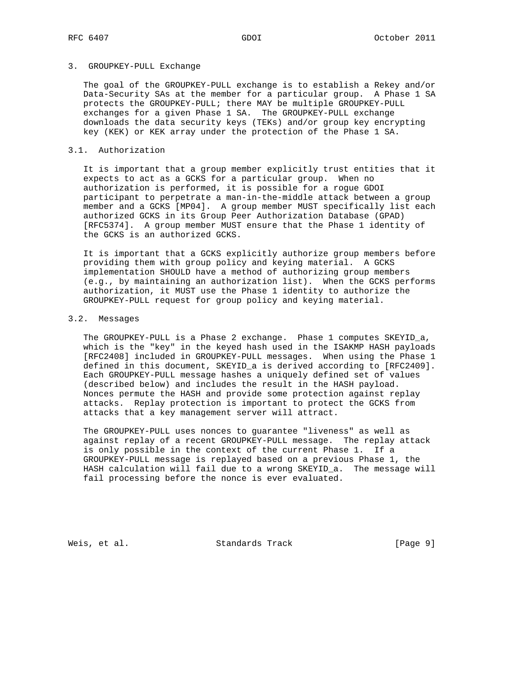#### 3. GROUPKEY-PULL Exchange

 The goal of the GROUPKEY-PULL exchange is to establish a Rekey and/or Data-Security SAs at the member for a particular group. A Phase 1 SA protects the GROUPKEY-PULL; there MAY be multiple GROUPKEY-PULL exchanges for a given Phase 1 SA. The GROUPKEY-PULL exchange downloads the data security keys (TEKs) and/or group key encrypting key (KEK) or KEK array under the protection of the Phase 1 SA.

## 3.1. Authorization

 It is important that a group member explicitly trust entities that it expects to act as a GCKS for a particular group. When no authorization is performed, it is possible for a rogue GDOI participant to perpetrate a man-in-the-middle attack between a group member and a GCKS [MP04]. A group member MUST specifically list each authorized GCKS in its Group Peer Authorization Database (GPAD) [RFC5374]. A group member MUST ensure that the Phase 1 identity of the GCKS is an authorized GCKS.

 It is important that a GCKS explicitly authorize group members before providing them with group policy and keying material. A GCKS implementation SHOULD have a method of authorizing group members (e.g., by maintaining an authorization list). When the GCKS performs authorization, it MUST use the Phase 1 identity to authorize the GROUPKEY-PULL request for group policy and keying material.

#### 3.2. Messages

 The GROUPKEY-PULL is a Phase 2 exchange. Phase 1 computes SKEYID\_a, which is the "key" in the keyed hash used in the ISAKMP HASH payloads [RFC2408] included in GROUPKEY-PULL messages. When using the Phase 1 defined in this document, SKEYID\_a is derived according to [RFC2409]. Each GROUPKEY-PULL message hashes a uniquely defined set of values (described below) and includes the result in the HASH payload. Nonces permute the HASH and provide some protection against replay attacks. Replay protection is important to protect the GCKS from attacks that a key management server will attract.

 The GROUPKEY-PULL uses nonces to guarantee "liveness" as well as against replay of a recent GROUPKEY-PULL message. The replay attack is only possible in the context of the current Phase 1. If a GROUPKEY-PULL message is replayed based on a previous Phase 1, the HASH calculation will fail due to a wrong SKEYID\_a. The message will fail processing before the nonce is ever evaluated.

Weis, et al. Standards Track [Page 9]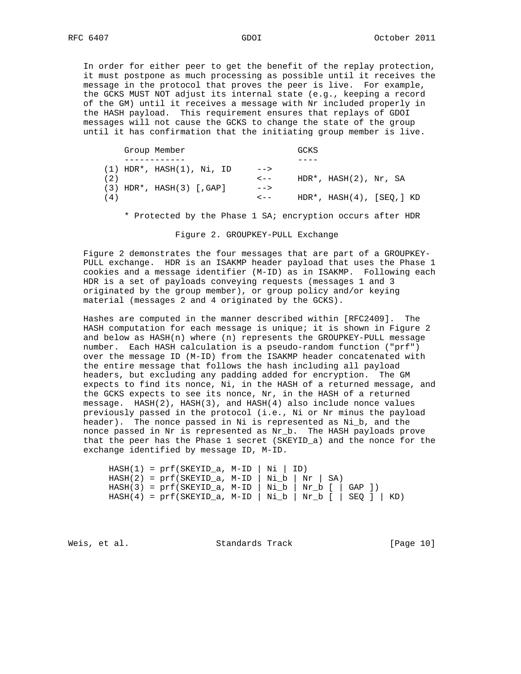In order for either peer to get the benefit of the replay protection, it must postpone as much processing as possible until it receives the message in the protocol that proves the peer is live. For example, the GCKS MUST NOT adjust its internal state (e.g., keeping a record of the GM) until it receives a message with Nr included properly in the HASH payload. This requirement ensures that replays of GDOI messages will not cause the GCKS to change the state of the group until it has confirmation that the initiating group member is live.

|     | Group Member                    |                 | GCKS                              |
|-----|---------------------------------|-----------------|-----------------------------------|
|     |                                 |                 |                                   |
|     | $(1)$ HDR*, HASH $(1)$ , Ni, ID | $--$            |                                   |
| (2) |                                 | $\lt$ $-$       | $HDR^*$ , $HASH(2)$ , $Nr$ , SA   |
|     | $(3)$ HDR*, HASH $(3)$ [, GAP]  | $--$            |                                   |
| (4) |                                 | $\epsilon$ $ -$ | $HDR^*$ , $HASH(4)$ , $[SEO, ]KD$ |
|     |                                 |                 |                                   |

\* Protected by the Phase 1 SA; encryption occurs after HDR

Figure 2. GROUPKEY-PULL Exchange

 Figure 2 demonstrates the four messages that are part of a GROUPKEY- PULL exchange. HDR is an ISAKMP header payload that uses the Phase 1 cookies and a message identifier (M-ID) as in ISAKMP. Following each HDR is a set of payloads conveying requests (messages 1 and 3 originated by the group member), or group policy and/or keying material (messages 2 and 4 originated by the GCKS).

 Hashes are computed in the manner described within [RFC2409]. The HASH computation for each message is unique; it is shown in Figure 2 and below as HASH(n) where (n) represents the GROUPKEY-PULL message number. Each HASH calculation is a pseudo-random function ("prf") over the message ID (M-ID) from the ISAKMP header concatenated with the entire message that follows the hash including all payload headers, but excluding any padding added for encryption. The GM expects to find its nonce, Ni, in the HASH of a returned message, and the GCKS expects to see its nonce, Nr, in the HASH of a returned message. HASH(2), HASH(3), and HASH(4) also include nonce values previously passed in the protocol (i.e., Ni or Nr minus the payload header). The nonce passed in Ni is represented as Ni\_b, and the nonce passed in Nr is represented as Nr\_b. The HASH payloads prove that the peer has the Phase 1 secret (SKEYID\_a) and the nonce for the exchange identified by message ID, M-ID.

```
HASH(1) = prf(SKEYID_a, M-ID | Ni | ID)HASH(2) = prf(SKEYID_a, M-ID | Ni_b | Nr | SA)HASH(3) = prf(SKEYID_a, M-ID | Nil_b | Nr_b [ | GAP ])HASH(4) = prf(SKEYID_a, M-ID | Nil_b | Nr_b [ | SEQ ] | KD)
```
Weis, et al. Standards Track [Page 10]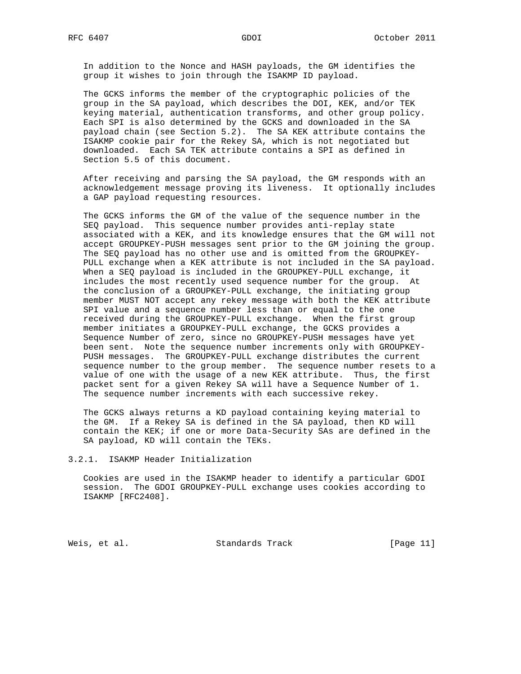In addition to the Nonce and HASH payloads, the GM identifies the group it wishes to join through the ISAKMP ID payload.

 The GCKS informs the member of the cryptographic policies of the group in the SA payload, which describes the DOI, KEK, and/or TEK keying material, authentication transforms, and other group policy. Each SPI is also determined by the GCKS and downloaded in the SA payload chain (see Section 5.2). The SA KEK attribute contains the ISAKMP cookie pair for the Rekey SA, which is not negotiated but downloaded. Each SA TEK attribute contains a SPI as defined in Section 5.5 of this document.

 After receiving and parsing the SA payload, the GM responds with an acknowledgement message proving its liveness. It optionally includes a GAP payload requesting resources.

 The GCKS informs the GM of the value of the sequence number in the SEQ payload. This sequence number provides anti-replay state associated with a KEK, and its knowledge ensures that the GM will not accept GROUPKEY-PUSH messages sent prior to the GM joining the group. The SEQ payload has no other use and is omitted from the GROUPKEY- PULL exchange when a KEK attribute is not included in the SA payload. When a SEQ payload is included in the GROUPKEY-PULL exchange, it includes the most recently used sequence number for the group. At the conclusion of a GROUPKEY-PULL exchange, the initiating group member MUST NOT accept any rekey message with both the KEK attribute SPI value and a sequence number less than or equal to the one received during the GROUPKEY-PULL exchange. When the first group member initiates a GROUPKEY-PULL exchange, the GCKS provides a Sequence Number of zero, since no GROUPKEY-PUSH messages have yet been sent. Note the sequence number increments only with GROUPKEY- PUSH messages. The GROUPKEY-PULL exchange distributes the current sequence number to the group member. The sequence number resets to a value of one with the usage of a new KEK attribute. Thus, the first packet sent for a given Rekey SA will have a Sequence Number of 1. The sequence number increments with each successive rekey.

 The GCKS always returns a KD payload containing keying material to the GM. If a Rekey SA is defined in the SA payload, then KD will contain the KEK; if one or more Data-Security SAs are defined in the SA payload, KD will contain the TEKs.

### 3.2.1. ISAKMP Header Initialization

 Cookies are used in the ISAKMP header to identify a particular GDOI session. The GDOI GROUPKEY-PULL exchange uses cookies according to ISAKMP [RFC2408].

Weis, et al. Standards Track [Page 11]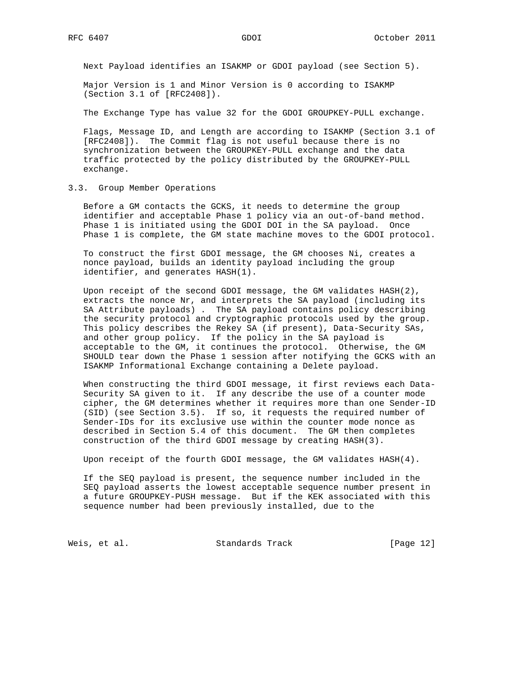Next Payload identifies an ISAKMP or GDOI payload (see Section 5).

 Major Version is 1 and Minor Version is 0 according to ISAKMP (Section 3.1 of [RFC2408]).

The Exchange Type has value 32 for the GDOI GROUPKEY-PULL exchange.

 Flags, Message ID, and Length are according to ISAKMP (Section 3.1 of [RFC2408]). The Commit flag is not useful because there is no synchronization between the GROUPKEY-PULL exchange and the data traffic protected by the policy distributed by the GROUPKEY-PULL exchange.

#### 3.3. Group Member Operations

 Before a GM contacts the GCKS, it needs to determine the group identifier and acceptable Phase 1 policy via an out-of-band method. Phase 1 is initiated using the GDOI DOI in the SA payload. Once Phase 1 is complete, the GM state machine moves to the GDOI protocol.

 To construct the first GDOI message, the GM chooses Ni, creates a nonce payload, builds an identity payload including the group identifier, and generates HASH(1).

 Upon receipt of the second GDOI message, the GM validates HASH(2), extracts the nonce Nr, and interprets the SA payload (including its SA Attribute payloads) . The SA payload contains policy describing the security protocol and cryptographic protocols used by the group. This policy describes the Rekey SA (if present), Data-Security SAs, and other group policy. If the policy in the SA payload is acceptable to the GM, it continues the protocol. Otherwise, the GM SHOULD tear down the Phase 1 session after notifying the GCKS with an ISAKMP Informational Exchange containing a Delete payload.

 When constructing the third GDOI message, it first reviews each Data- Security SA given to it. If any describe the use of a counter mode cipher, the GM determines whether it requires more than one Sender-ID (SID) (see Section 3.5). If so, it requests the required number of Sender-IDs for its exclusive use within the counter mode nonce as described in Section 5.4 of this document. The GM then completes construction of the third GDOI message by creating HASH(3).

Upon receipt of the fourth GDOI message, the GM validates HASH(4).

 If the SEQ payload is present, the sequence number included in the SEQ payload asserts the lowest acceptable sequence number present in a future GROUPKEY-PUSH message. But if the KEK associated with this sequence number had been previously installed, due to the

Weis, et al. Standards Track [Page 12]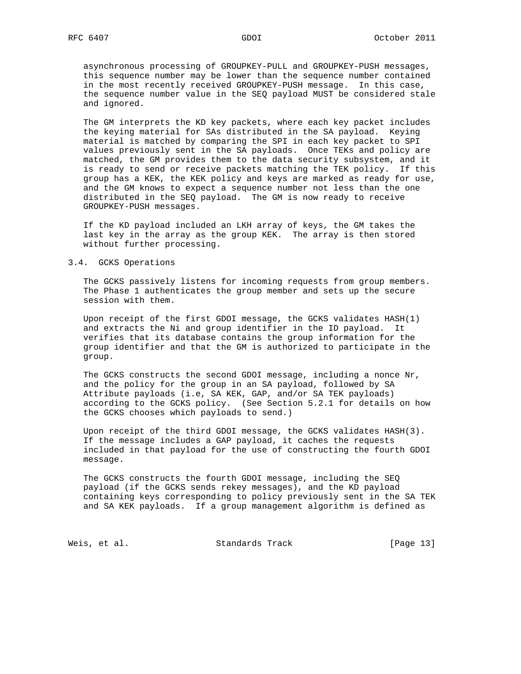asynchronous processing of GROUPKEY-PULL and GROUPKEY-PUSH messages, this sequence number may be lower than the sequence number contained in the most recently received GROUPKEY-PUSH message. In this case, the sequence number value in the SEQ payload MUST be considered stale and ignored.

 The GM interprets the KD key packets, where each key packet includes the keying material for SAs distributed in the SA payload. Keying material is matched by comparing the SPI in each key packet to SPI values previously sent in the SA payloads. Once TEKs and policy are matched, the GM provides them to the data security subsystem, and it is ready to send or receive packets matching the TEK policy. If this group has a KEK, the KEK policy and keys are marked as ready for use, and the GM knows to expect a sequence number not less than the one distributed in the SEQ payload. The GM is now ready to receive GROUPKEY-PUSH messages.

 If the KD payload included an LKH array of keys, the GM takes the last key in the array as the group KEK. The array is then stored without further processing.

## 3.4. GCKS Operations

 The GCKS passively listens for incoming requests from group members. The Phase 1 authenticates the group member and sets up the secure session with them.

 Upon receipt of the first GDOI message, the GCKS validates HASH(1) and extracts the Ni and group identifier in the ID payload. It verifies that its database contains the group information for the group identifier and that the GM is authorized to participate in the group.

 The GCKS constructs the second GDOI message, including a nonce Nr, and the policy for the group in an SA payload, followed by SA Attribute payloads (i.e, SA KEK, GAP, and/or SA TEK payloads) according to the GCKS policy. (See Section 5.2.1 for details on how the GCKS chooses which payloads to send.)

 Upon receipt of the third GDOI message, the GCKS validates HASH(3). If the message includes a GAP payload, it caches the requests included in that payload for the use of constructing the fourth GDOI message.

 The GCKS constructs the fourth GDOI message, including the SEQ payload (if the GCKS sends rekey messages), and the KD payload containing keys corresponding to policy previously sent in the SA TEK and SA KEK payloads. If a group management algorithm is defined as

Weis, et al. Standards Track [Page 13]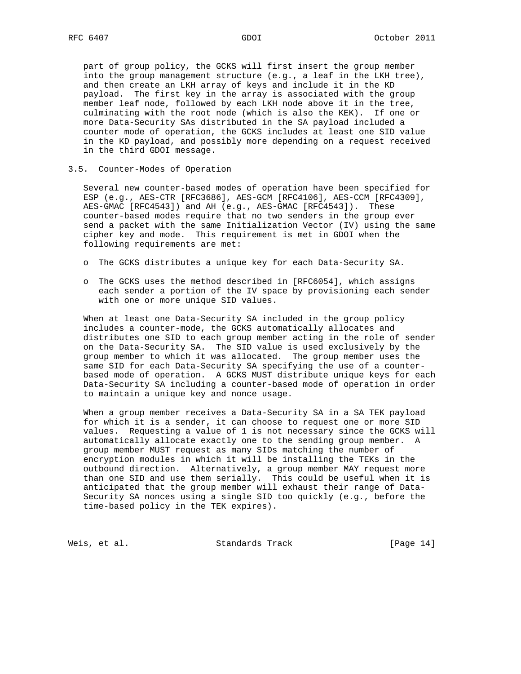part of group policy, the GCKS will first insert the group member into the group management structure (e.g., a leaf in the LKH tree), and then create an LKH array of keys and include it in the KD payload. The first key in the array is associated with the group member leaf node, followed by each LKH node above it in the tree, culminating with the root node (which is also the KEK). If one or more Data-Security SAs distributed in the SA payload included a counter mode of operation, the GCKS includes at least one SID value in the KD payload, and possibly more depending on a request received in the third GDOI message.

#### 3.5. Counter-Modes of Operation

 Several new counter-based modes of operation have been specified for ESP (e.g., AES-CTR [RFC3686], AES-GCM [RFC4106], AES-CCM [RFC4309], AES-GMAC [RFC4543]) and AH (e.g., AES-GMAC [RFC4543]). These counter-based modes require that no two senders in the group ever send a packet with the same Initialization Vector (IV) using the same cipher key and mode. This requirement is met in GDOI when the following requirements are met:

- o The GCKS distributes a unique key for each Data-Security SA.
- o The GCKS uses the method described in [RFC6054], which assigns each sender a portion of the IV space by provisioning each sender with one or more unique SID values.

 When at least one Data-Security SA included in the group policy includes a counter-mode, the GCKS automatically allocates and distributes one SID to each group member acting in the role of sender on the Data-Security SA. The SID value is used exclusively by the group member to which it was allocated. The group member uses the same SID for each Data-Security SA specifying the use of a counter based mode of operation. A GCKS MUST distribute unique keys for each Data-Security SA including a counter-based mode of operation in order to maintain a unique key and nonce usage.

 When a group member receives a Data-Security SA in a SA TEK payload for which it is a sender, it can choose to request one or more SID values. Requesting a value of 1 is not necessary since the GCKS will automatically allocate exactly one to the sending group member. A group member MUST request as many SIDs matching the number of encryption modules in which it will be installing the TEKs in the outbound direction. Alternatively, a group member MAY request more than one SID and use them serially. This could be useful when it is anticipated that the group member will exhaust their range of Data- Security SA nonces using a single SID too quickly (e.g., before the time-based policy in the TEK expires).

Weis, et al. Standards Track [Page 14]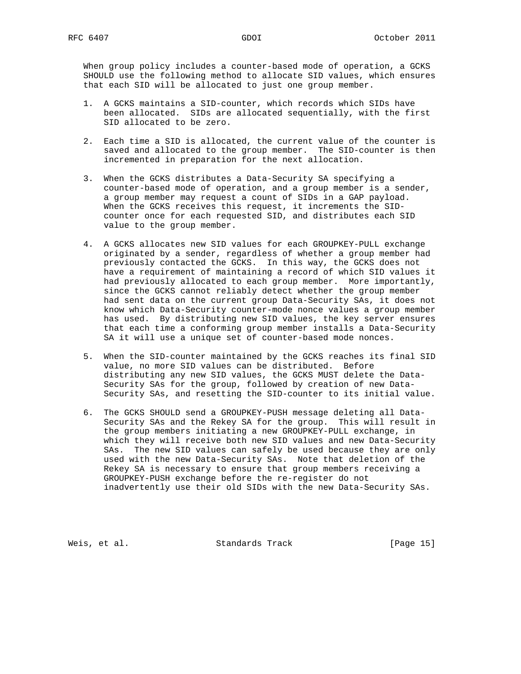When group policy includes a counter-based mode of operation, a GCKS SHOULD use the following method to allocate SID values, which ensures that each SID will be allocated to just one group member.

- 1. A GCKS maintains a SID-counter, which records which SIDs have been allocated. SIDs are allocated sequentially, with the first SID allocated to be zero.
- 2. Each time a SID is allocated, the current value of the counter is saved and allocated to the group member. The SID-counter is then incremented in preparation for the next allocation.
- 3. When the GCKS distributes a Data-Security SA specifying a counter-based mode of operation, and a group member is a sender, a group member may request a count of SIDs in a GAP payload. When the GCKS receives this request, it increments the SID counter once for each requested SID, and distributes each SID value to the group member.
- 4. A GCKS allocates new SID values for each GROUPKEY-PULL exchange originated by a sender, regardless of whether a group member had previously contacted the GCKS. In this way, the GCKS does not have a requirement of maintaining a record of which SID values it had previously allocated to each group member. More importantly, since the GCKS cannot reliably detect whether the group member had sent data on the current group Data-Security SAs, it does not know which Data-Security counter-mode nonce values a group member has used. By distributing new SID values, the key server ensures that each time a conforming group member installs a Data-Security SA it will use a unique set of counter-based mode nonces.
- 5. When the SID-counter maintained by the GCKS reaches its final SID value, no more SID values can be distributed. Before distributing any new SID values, the GCKS MUST delete the Data- Security SAs for the group, followed by creation of new Data- Security SAs, and resetting the SID-counter to its initial value.
- 6. The GCKS SHOULD send a GROUPKEY-PUSH message deleting all Data- Security SAs and the Rekey SA for the group. This will result in the group members initiating a new GROUPKEY-PULL exchange, in which they will receive both new SID values and new Data-Security SAs. The new SID values can safely be used because they are only used with the new Data-Security SAs. Note that deletion of the Rekey SA is necessary to ensure that group members receiving a GROUPKEY-PUSH exchange before the re-register do not inadvertently use their old SIDs with the new Data-Security SAs.

Weis, et al. Standards Track [Page 15]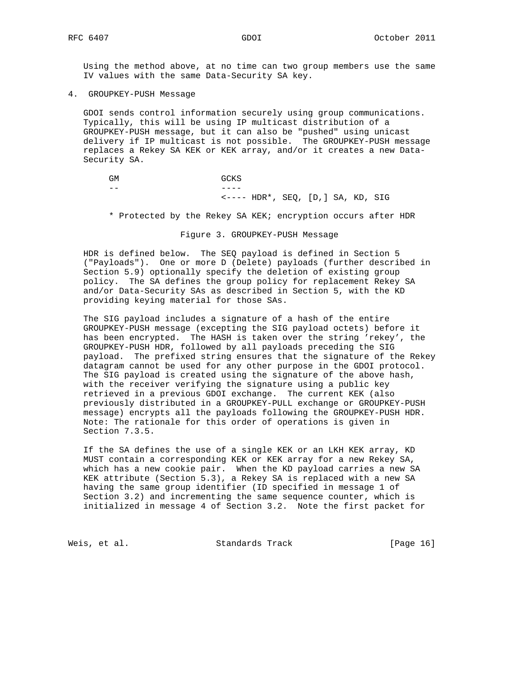Using the method above, at no time can two group members use the same IV values with the same Data-Security SA key.

4. GROUPKEY-PUSH Message

 GDOI sends control information securely using group communications. Typically, this will be using IP multicast distribution of a GROUPKEY-PUSH message, but it can also be "pushed" using unicast delivery if IP multicast is not possible. The GROUPKEY-PUSH message replaces a Rekey SA KEK or KEK array, and/or it creates a new Data- Security SA.

| GМ | GCKS |                                                          |  |  |  |
|----|------|----------------------------------------------------------|--|--|--|
| -- |      |                                                          |  |  |  |
|    |      | $\leftarrow \leftarrow -$ HDR*, SEQ, $[D, ]$ SA, KD, SIG |  |  |  |

\* Protected by the Rekey SA KEK; encryption occurs after HDR

Figure 3. GROUPKEY-PUSH Message

 HDR is defined below. The SEQ payload is defined in Section 5 ("Payloads"). One or more D (Delete) payloads (further described in Section 5.9) optionally specify the deletion of existing group policy. The SA defines the group policy for replacement Rekey SA and/or Data-Security SAs as described in Section 5, with the KD providing keying material for those SAs.

 The SIG payload includes a signature of a hash of the entire GROUPKEY-PUSH message (excepting the SIG payload octets) before it has been encrypted. The HASH is taken over the string 'rekey', the GROUPKEY-PUSH HDR, followed by all payloads preceding the SIG payload. The prefixed string ensures that the signature of the Rekey datagram cannot be used for any other purpose in the GDOI protocol. The SIG payload is created using the signature of the above hash, with the receiver verifying the signature using a public key retrieved in a previous GDOI exchange. The current KEK (also previously distributed in a GROUPKEY-PULL exchange or GROUPKEY-PUSH message) encrypts all the payloads following the GROUPKEY-PUSH HDR. Note: The rationale for this order of operations is given in Section 7.3.5.

 If the SA defines the use of a single KEK or an LKH KEK array, KD MUST contain a corresponding KEK or KEK array for a new Rekey SA, which has a new cookie pair. When the KD payload carries a new SA KEK attribute (Section 5.3), a Rekey SA is replaced with a new SA having the same group identifier (ID specified in message 1 of Section 3.2) and incrementing the same sequence counter, which is initialized in message 4 of Section 3.2. Note the first packet for

Weis, et al. Standards Track [Page 16]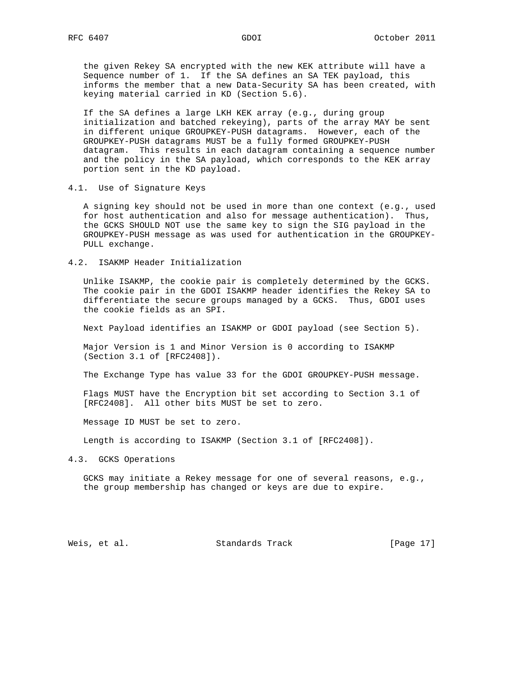the given Rekey SA encrypted with the new KEK attribute will have a Sequence number of 1. If the SA defines an SA TEK payload, this informs the member that a new Data-Security SA has been created, with keying material carried in KD (Section 5.6).

 If the SA defines a large LKH KEK array (e.g., during group initialization and batched rekeying), parts of the array MAY be sent in different unique GROUPKEY-PUSH datagrams. However, each of the GROUPKEY-PUSH datagrams MUST be a fully formed GROUPKEY-PUSH datagram. This results in each datagram containing a sequence number and the policy in the SA payload, which corresponds to the KEK array portion sent in the KD payload.

4.1. Use of Signature Keys

 A signing key should not be used in more than one context (e.g., used for host authentication and also for message authentication). Thus, the GCKS SHOULD NOT use the same key to sign the SIG payload in the GROUPKEY-PUSH message as was used for authentication in the GROUPKEY- PULL exchange.

4.2. ISAKMP Header Initialization

 Unlike ISAKMP, the cookie pair is completely determined by the GCKS. The cookie pair in the GDOI ISAKMP header identifies the Rekey SA to differentiate the secure groups managed by a GCKS. Thus, GDOI uses the cookie fields as an SPI.

Next Payload identifies an ISAKMP or GDOI payload (see Section 5).

 Major Version is 1 and Minor Version is 0 according to ISAKMP (Section 3.1 of [RFC2408]).

The Exchange Type has value 33 for the GDOI GROUPKEY-PUSH message.

 Flags MUST have the Encryption bit set according to Section 3.1 of [RFC2408]. All other bits MUST be set to zero.

Message ID MUST be set to zero.

Length is according to ISAKMP (Section 3.1 of [RFC2408]).

4.3. GCKS Operations

 GCKS may initiate a Rekey message for one of several reasons, e.g., the group membership has changed or keys are due to expire.

Weis, et al. Standards Track [Page 17]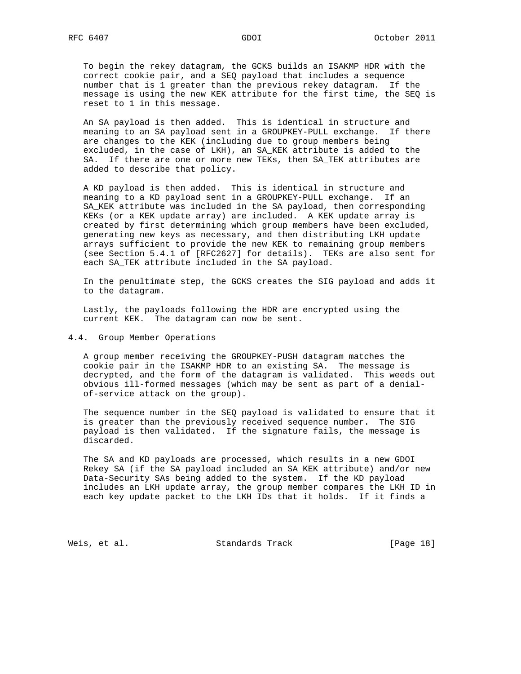To begin the rekey datagram, the GCKS builds an ISAKMP HDR with the correct cookie pair, and a SEQ payload that includes a sequence number that is 1 greater than the previous rekey datagram. If the message is using the new KEK attribute for the first time, the SEQ is reset to 1 in this message.

 An SA payload is then added. This is identical in structure and meaning to an SA payload sent in a GROUPKEY-PULL exchange. If there are changes to the KEK (including due to group members being excluded, in the case of LKH), an SA\_KEK attribute is added to the SA. If there are one or more new TEKs, then SA\_TEK attributes are added to describe that policy.

 A KD payload is then added. This is identical in structure and meaning to a KD payload sent in a GROUPKEY-PULL exchange. If an SA\_KEK attribute was included in the SA payload, then corresponding KEKs (or a KEK update array) are included. A KEK update array is created by first determining which group members have been excluded, generating new keys as necessary, and then distributing LKH update arrays sufficient to provide the new KEK to remaining group members (see Section 5.4.1 of [RFC2627] for details). TEKs are also sent for each SA\_TEK attribute included in the SA payload.

 In the penultimate step, the GCKS creates the SIG payload and adds it to the datagram.

 Lastly, the payloads following the HDR are encrypted using the current KEK. The datagram can now be sent.

## 4.4. Group Member Operations

 A group member receiving the GROUPKEY-PUSH datagram matches the cookie pair in the ISAKMP HDR to an existing SA. The message is decrypted, and the form of the datagram is validated. This weeds out obvious ill-formed messages (which may be sent as part of a denial of-service attack on the group).

 The sequence number in the SEQ payload is validated to ensure that it is greater than the previously received sequence number. The SIG payload is then validated. If the signature fails, the message is discarded.

 The SA and KD payloads are processed, which results in a new GDOI Rekey SA (if the SA payload included an SA\_KEK attribute) and/or new Data-Security SAs being added to the system. If the KD payload includes an LKH update array, the group member compares the LKH ID in each key update packet to the LKH IDs that it holds. If it finds a

Weis, et al. Standards Track [Page 18]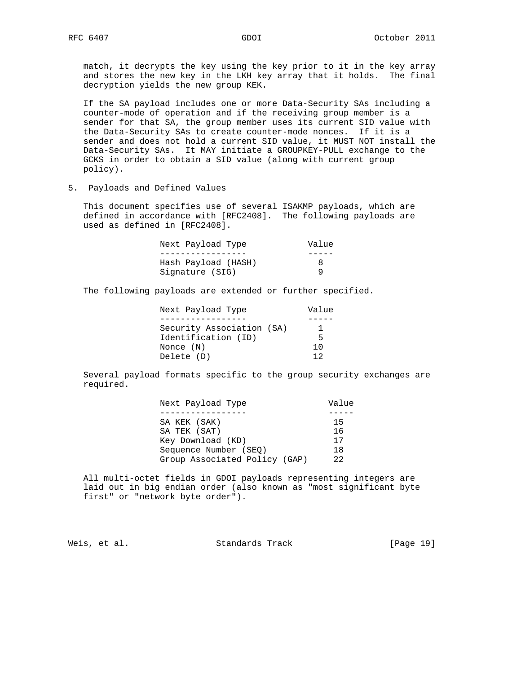match, it decrypts the key using the key prior to it in the key array and stores the new key in the LKH key array that it holds. The final decryption yields the new group KEK.

 If the SA payload includes one or more Data-Security SAs including a counter-mode of operation and if the receiving group member is a sender for that SA, the group member uses its current SID value with the Data-Security SAs to create counter-mode nonces. If it is a sender and does not hold a current SID value, it MUST NOT install the Data-Security SAs. It MAY initiate a GROUPKEY-PULL exchange to the GCKS in order to obtain a SID value (along with current group policy).

5. Payloads and Defined Values

 This document specifies use of several ISAKMP payloads, which are defined in accordance with [RFC2408]. The following payloads are used as defined in [RFC2408].

| Next Payload Type   | Value |
|---------------------|-------|
|                     |       |
| Hash Payload (HASH) | 8     |
| Signature (SIG)     |       |

The following payloads are extended or further specified.

| Next Payload Type         | Value |
|---------------------------|-------|
|                           |       |
| Security Association (SA) |       |
| Identification (ID)       | 5     |
| Nonce (N)                 | 1 O   |
| Delete (D)                | ヿつ    |

 Several payload formats specific to the group security exchanges are required.

| Next Payload Type             | Value |
|-------------------------------|-------|
|                               |       |
| SA KEK (SAK)                  | 15    |
| SA TEK (SAT)                  | 16    |
| Key Download (KD)             | 17    |
| Sequence Number (SEO)         | 18    |
| Group Associated Policy (GAP) | 22    |

 All multi-octet fields in GDOI payloads representing integers are laid out in big endian order (also known as "most significant byte first" or "network byte order").

Weis, et al. Standards Track [Page 19]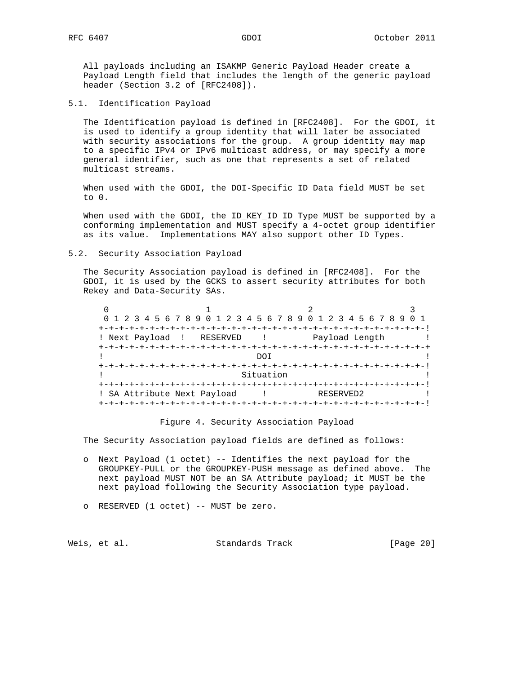All payloads including an ISAKMP Generic Payload Header create a Payload Length field that includes the length of the generic payload header (Section 3.2 of [RFC2408]).

5.1. Identification Payload

 The Identification payload is defined in [RFC2408]. For the GDOI, it is used to identify a group identity that will later be associated with security associations for the group. A group identity may map to a specific IPv4 or IPv6 multicast address, or may specify a more general identifier, such as one that represents a set of related multicast streams.

 When used with the GDOI, the DOI-Specific ID Data field MUST be set to 0.

 When used with the GDOI, the ID\_KEY\_ID ID Type MUST be supported by a conforming implementation and MUST specify a 4-octet group identifier as its value. Implementations MAY also support other ID Types.

#### 5.2. Security Association Payload

 The Security Association payload is defined in [RFC2408]. For the GDOI, it is used by the GCKS to assert security attributes for both Rekey and Data-Security SAs.

| 0 1 2 3 4 5 6 7 8 9 0 1 2 3 4 5 6 7 8 9 0 1 2 3 4 5 6 7 8 9 |           |                |  |
|-------------------------------------------------------------|-----------|----------------|--|
|                                                             |           |                |  |
| ! Next Payload ! RESERVED !                                 |           | Payload Length |  |
|                                                             |           |                |  |
|                                                             | DOI       |                |  |
|                                                             |           |                |  |
|                                                             | Situation |                |  |
|                                                             |           |                |  |
| ! SA Attribute Next Payload                                 |           | RESERVED2      |  |
|                                                             |           |                |  |

#### Figure 4. Security Association Payload

The Security Association payload fields are defined as follows:

- o Next Payload (1 octet) -- Identifies the next payload for the GROUPKEY-PULL or the GROUPKEY-PUSH message as defined above. The next payload MUST NOT be an SA Attribute payload; it MUST be the next payload following the Security Association type payload.
- o RESERVED (1 octet) -- MUST be zero.

Weis, et al. Standards Track [Page 20]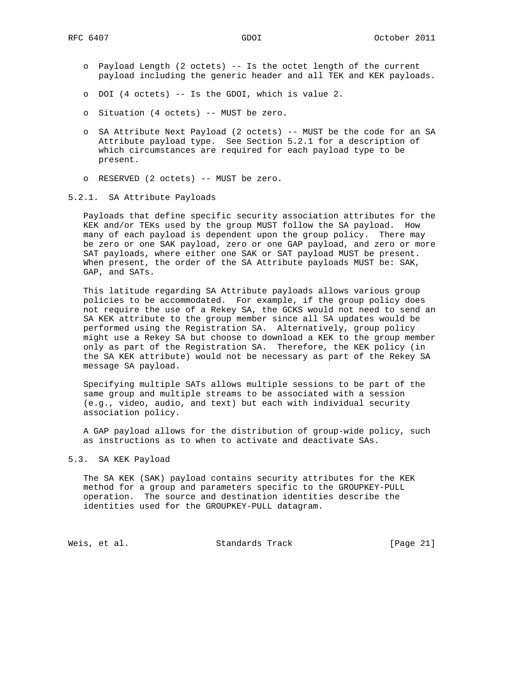- o Payload Length (2 octets) -- Is the octet length of the current payload including the generic header and all TEK and KEK payloads.
- o DOI (4 octets) -- Is the GDOI, which is value 2.
- o Situation (4 octets) -- MUST be zero.
- o SA Attribute Next Payload (2 octets) -- MUST be the code for an SA Attribute payload type. See Section 5.2.1 for a description of which circumstances are required for each payload type to be present.
- o RESERVED (2 octets) -- MUST be zero.

#### 5.2.1. SA Attribute Payloads

 Payloads that define specific security association attributes for the KEK and/or TEKs used by the group MUST follow the SA payload. How many of each payload is dependent upon the group policy. There may be zero or one SAK payload, zero or one GAP payload, and zero or more SAT payloads, where either one SAK or SAT payload MUST be present. When present, the order of the SA Attribute payloads MUST be: SAK, GAP, and SATs.

 This latitude regarding SA Attribute payloads allows various group policies to be accommodated. For example, if the group policy does not require the use of a Rekey SA, the GCKS would not need to send an SA KEK attribute to the group member since all SA updates would be performed using the Registration SA. Alternatively, group policy might use a Rekey SA but choose to download a KEK to the group member only as part of the Registration SA. Therefore, the KEK policy (in the SA KEK attribute) would not be necessary as part of the Rekey SA message SA payload.

 Specifying multiple SATs allows multiple sessions to be part of the same group and multiple streams to be associated with a session (e.g., video, audio, and text) but each with individual security association policy.

 A GAP payload allows for the distribution of group-wide policy, such as instructions as to when to activate and deactivate SAs.

### 5.3. SA KEK Payload

 The SA KEK (SAK) payload contains security attributes for the KEK method for a group and parameters specific to the GROUPKEY-PULL operation. The source and destination identities describe the identities used for the GROUPKEY-PULL datagram.

Weis, et al. Standards Track [Page 21]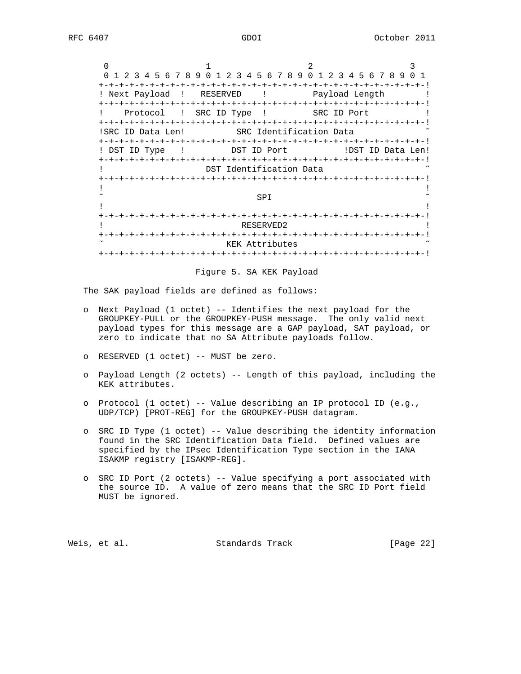$0$  1 2 3 0 1 2 3 4 5 6 7 8 9 0 1 2 3 4 5 6 7 8 9 0 1 2 3 4 5 6 7 8 9 0 1 +-+-+-+-+-+-+-+-+-+-+-+-+-+-+-+-+-+-+-+-+-+-+-+-+-+-+-+-+-+-+-+-! ! Next Payload ! RESERVED ! Payload Length ! +-+-+-+-+-+-+-+-+-+-+-+-+-+-+-+-+-+-+-+-+-+-+-+-+-+-+-+-+-+-+-+-! ! Protocol ! SRC ID Type ! SRC ID Port ! +-+-+-+-+-+-+-+-+-+-+-+-+-+-+-+-+-+-+-+-+-+-+-+-+-+-+-+-+-+-+-+-! !SRC ID Data Len! SRC Identification Data +-+-+-+-+-+-+-+-+-+-+-+-+-+-+-+-+-+-+-+-+-+-+-+-+-+-+-+-+-+-+-+-! ! DST ID Type ! DST ID Port ! DST ID Data Len! +-+-+-+-+-+-+-+-+-+-+-+-+-+-+-+-+-+-+-+-+-+-+-+-+-+-+-+-+-+-+-+-! ! DST Identification Data +-+-+-+-+-+-+-+-+-+-+-+-+-+-+-+-+-+-+-+-+-+-+-+-+-+-+-+-+-+-+-+-! . The contract of the contract of the contract of the contract of the contract of the contract of the contract  $\sim$  SPI  $\sim$ . The contract of the contract of the contract of the contract of the contract of the contract of the contract +-+-+-+-+-+-+-+-+-+-+-+-+-+-+-+-+-+-+-+-+-+-+-+-+-+-+-+-+-+-+-+-! ! RESERVED2 ! +-+-+-+-+-+-+-+-+-+-+-+-+-+-+-+-+-+-+-+-+-+-+-+-+-+-+-+-+-+-+-+-! KEK Attributes +-+-+-+-+-+-+-+-+-+-+-+-+-+-+-+-+-+-+-+-+-+-+-+-+-+-+-+-+-+-+-+-!

Figure 5. SA KEK Payload

The SAK payload fields are defined as follows:

- o Next Payload (1 octet) -- Identifies the next payload for the GROUPKEY-PULL or the GROUPKEY-PUSH message. The only valid next payload types for this message are a GAP payload, SAT payload, or zero to indicate that no SA Attribute payloads follow.
- o RESERVED (1 octet) -- MUST be zero.
- o Payload Length (2 octets) -- Length of this payload, including the KEK attributes.
- o Protocol (1 octet) -- Value describing an IP protocol ID (e.g., UDP/TCP) [PROT-REG] for the GROUPKEY-PUSH datagram.
- o SRC ID Type (1 octet) -- Value describing the identity information found in the SRC Identification Data field. Defined values are specified by the IPsec Identification Type section in the IANA ISAKMP registry [ISAKMP-REG].
- o SRC ID Port (2 octets) -- Value specifying a port associated with the source ID. A value of zero means that the SRC ID Port field MUST be ignored.

Weis, et al. Standards Track [Page 22]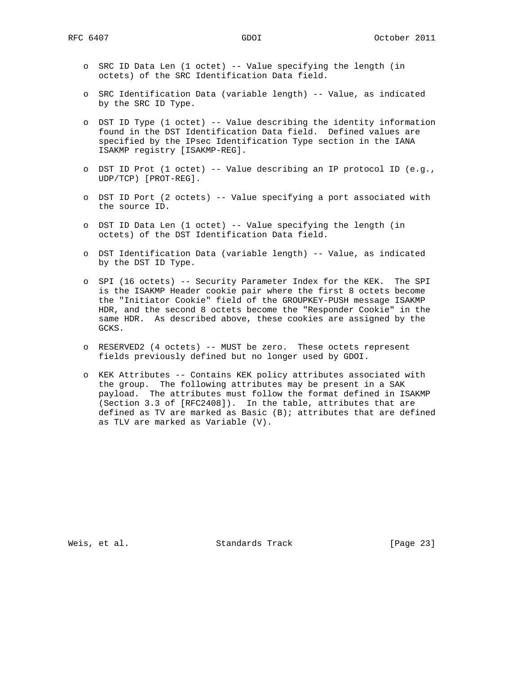- o SRC ID Data Len (1 octet) -- Value specifying the length (in octets) of the SRC Identification Data field.
- o SRC Identification Data (variable length) -- Value, as indicated by the SRC ID Type.
- o DST ID Type (1 octet) -- Value describing the identity information found in the DST Identification Data field. Defined values are specified by the IPsec Identification Type section in the IANA ISAKMP registry [ISAKMP-REG].
- o DST ID Prot (1 octet) -- Value describing an IP protocol ID (e.g., UDP/TCP) [PROT-REG].
- o DST ID Port (2 octets) -- Value specifying a port associated with the source ID.
- o DST ID Data Len (1 octet) -- Value specifying the length (in octets) of the DST Identification Data field.
- o DST Identification Data (variable length) -- Value, as indicated by the DST ID Type.
- o SPI (16 octets) -- Security Parameter Index for the KEK. The SPI is the ISAKMP Header cookie pair where the first 8 octets become the "Initiator Cookie" field of the GROUPKEY-PUSH message ISAKMP HDR, and the second 8 octets become the "Responder Cookie" in the same HDR. As described above, these cookies are assigned by the GCKS.
- o RESERVED2 (4 octets) -- MUST be zero. These octets represent fields previously defined but no longer used by GDOI.
- o KEK Attributes -- Contains KEK policy attributes associated with the group. The following attributes may be present in a SAK payload. The attributes must follow the format defined in ISAKMP (Section 3.3 of [RFC2408]). In the table, attributes that are defined as TV are marked as Basic (B); attributes that are defined as TLV are marked as Variable (V).

Weis, et al. Standards Track [Page 23]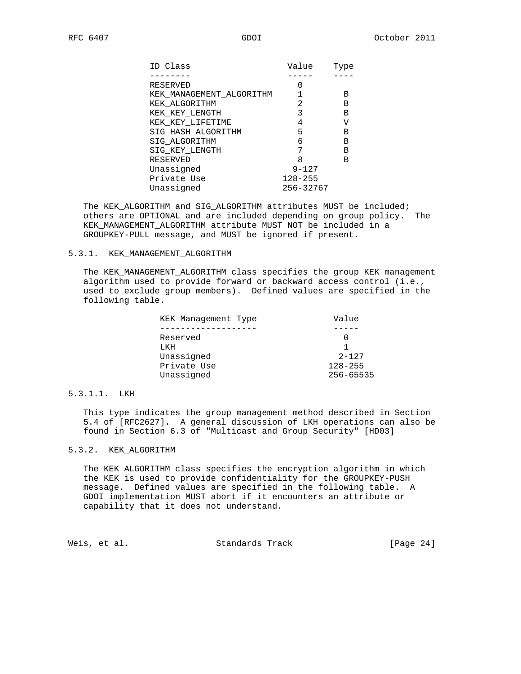| ID Class                 | Value       | Type |
|--------------------------|-------------|------|
|                          |             |      |
| <b>RESERVED</b>          | Ω           |      |
| KEK MANAGEMENT ALGORITHM |             | В    |
| KEK ALGORITHM            | 2           | В    |
| KEK KEY LENGTH           |             | В    |
| KEK KEY LIFETIME         | 4           | V    |
| SIG HASH ALGORITHM       | 5           | В    |
| SIG ALGORITHM            | 6           | В    |
| SIG KEY LENGTH           |             | В    |
| RESERVED                 | 8           | В    |
| Unassigned               | $9 - 127$   |      |
| Private Use              | $128 - 255$ |      |
| Unassigned               | 256-32767   |      |

 The KEK\_ALGORITHM and SIG\_ALGORITHM attributes MUST be included; others are OPTIONAL and are included depending on group policy. The KEK\_MANAGEMENT\_ALGORITHM attribute MUST NOT be included in a GROUPKEY-PULL message, and MUST be ignored if present.

#### 5.3.1. KEK\_MANAGEMENT\_ALGORITHM

 The KEK\_MANAGEMENT\_ALGORITHM class specifies the group KEK management algorithm used to provide forward or backward access control (i.e., used to exclude group members). Defined values are specified in the following table.

| KEK Management Type | Value       |
|---------------------|-------------|
|                     |             |
| Reserved            |             |
| LKH                 |             |
| Unassigned          | $2 - 127$   |
| Private Use         | $128 - 255$ |
| Unassigned          | 256-65535   |

## 5.3.1.1. LKH

 This type indicates the group management method described in Section 5.4 of [RFC2627]. A general discussion of LKH operations can also be found in Section 6.3 of "Multicast and Group Security" [HD03]

## 5.3.2. KEK\_ALGORITHM

 The KEK\_ALGORITHM class specifies the encryption algorithm in which the KEK is used to provide confidentiality for the GROUPKEY-PUSH message. Defined values are specified in the following table. A GDOI implementation MUST abort if it encounters an attribute or capability that it does not understand.

|  | Weis, et al. | Standards Track | [Page $24$ ] |
|--|--------------|-----------------|--------------|
|--|--------------|-----------------|--------------|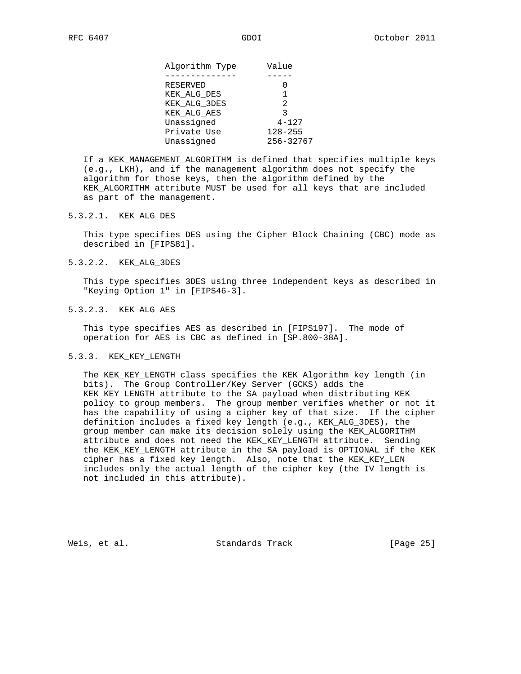| Algorithm Type | Value       |
|----------------|-------------|
|                |             |
| RESERVED       |             |
| KEK ALG DES    |             |
| KEK ALG 3DES   | 2           |
| KEK ALG AES    | 3           |
| Unassigned     | $4 - 127$   |
| Private Use    | $128 - 255$ |
| Unassigned     | 256-32767   |

 If a KEK\_MANAGEMENT\_ALGORITHM is defined that specifies multiple keys (e.g., LKH), and if the management algorithm does not specify the algorithm for those keys, then the algorithm defined by the KEK\_ALGORITHM attribute MUST be used for all keys that are included as part of the management.

#### 5.3.2.1. KEK\_ALG\_DES

 This type specifies DES using the Cipher Block Chaining (CBC) mode as described in [FIPS81].

## 5.3.2.2. KEK\_ALG\_3DES

 This type specifies 3DES using three independent keys as described in "Keying Option 1" in [FIPS46-3].

### 5.3.2.3. KEK\_ALG\_AES

 This type specifies AES as described in [FIPS197]. The mode of operation for AES is CBC as defined in [SP.800-38A].

#### 5.3.3. KEK\_KEY\_LENGTH

 The KEK\_KEY\_LENGTH class specifies the KEK Algorithm key length (in bits). The Group Controller/Key Server (GCKS) adds the KEK\_KEY\_LENGTH attribute to the SA payload when distributing KEK policy to group members. The group member verifies whether or not it has the capability of using a cipher key of that size. If the cipher definition includes a fixed key length (e.g., KEK\_ALG\_3DES), the group member can make its decision solely using the KEK\_ALGORITHM attribute and does not need the KEK\_KEY\_LENGTH attribute. Sending the KEK\_KEY\_LENGTH attribute in the SA payload is OPTIONAL if the KEK cipher has a fixed key length. Also, note that the KEK\_KEY\_LEN includes only the actual length of the cipher key (the IV length is not included in this attribute).

Weis, et al. Standards Track [Page 25]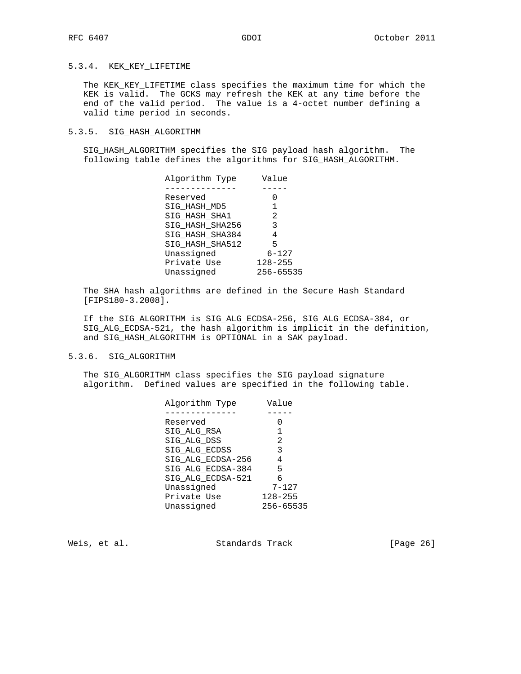# 5.3.4. KEK\_KEY\_LIFETIME

 The KEK\_KEY\_LIFETIME class specifies the maximum time for which the KEK is valid. The GCKS may refresh the KEK at any time before the end of the valid period. The value is a 4-octet number defining a valid time period in seconds.

### 5.3.5. SIG\_HASH\_ALGORITHM

 SIG\_HASH\_ALGORITHM specifies the SIG payload hash algorithm. The following table defines the algorithms for SIG\_HASH\_ALGORITHM.

| Algorithm Type  | Value       |
|-----------------|-------------|
|                 |             |
| Reserved        |             |
| SIG HASH MD5    |             |
| SIG HASH SHA1   | 2           |
| SIG HASH SHA256 | 3           |
| SIG HASH SHA384 | 4           |
| SIG HASH SHA512 | 5           |
| Unassigned      | $6 - 127$   |
| Private Use     | $128 - 255$ |
| Unassigned      | 256-65535   |

 The SHA hash algorithms are defined in the Secure Hash Standard [FIPS180-3.2008].

 If the SIG\_ALGORITHM is SIG\_ALG\_ECDSA-256, SIG\_ALG\_ECDSA-384, or SIG\_ALG\_ECDSA-521, the hash algorithm is implicit in the definition, and SIG\_HASH\_ALGORITHM is OPTIONAL in a SAK payload.

### 5.3.6. SIG\_ALGORITHM

 The SIG\_ALGORITHM class specifies the SIG payload signature algorithm. Defined values are specified in the following table.

| Algorithm Type    | Value       |
|-------------------|-------------|
|                   |             |
| Reserved          |             |
| SIG ALG RSA       |             |
| SIG ALG DSS       | 2           |
| SIG ALG ECDSS     | 3           |
| SIG ALG ECDSA-256 | 4           |
| SIG ALG ECDSA-384 | 5           |
| SIG_ALG_ECDSA-521 | 6           |
| Unassigned        | $7 - 127$   |
| Private Use       | $128 - 255$ |
| Unassigned        | 256-65535   |

Weis, et al. Standards Track [Page 26]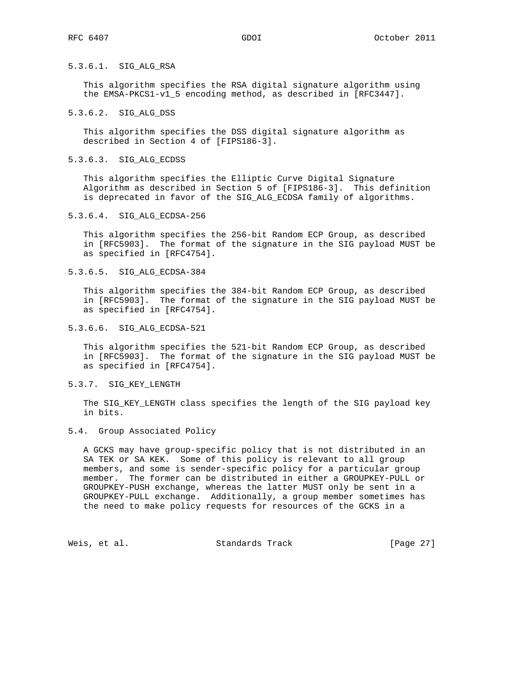## 5.3.6.1. SIG\_ALG\_RSA

 This algorithm specifies the RSA digital signature algorithm using the EMSA-PKCS1-v1\_5 encoding method, as described in [RFC3447].

#### 5.3.6.2. SIG\_ALG\_DSS

 This algorithm specifies the DSS digital signature algorithm as described in Section 4 of [FIPS186-3].

#### 5.3.6.3. SIG\_ALG\_ECDSS

 This algorithm specifies the Elliptic Curve Digital Signature Algorithm as described in Section 5 of [FIPS186-3]. This definition is deprecated in favor of the SIG\_ALG\_ECDSA family of algorithms.

#### 5.3.6.4. SIG\_ALG\_ECDSA-256

 This algorithm specifies the 256-bit Random ECP Group, as described in [RFC5903]. The format of the signature in the SIG payload MUST be as specified in [RFC4754].

#### 5.3.6.5. SIG\_ALG\_ECDSA-384

 This algorithm specifies the 384-bit Random ECP Group, as described in [RFC5903]. The format of the signature in the SIG payload MUST be as specified in [RFC4754].

#### 5.3.6.6. SIG\_ALG\_ECDSA-521

 This algorithm specifies the 521-bit Random ECP Group, as described in [RFC5903]. The format of the signature in the SIG payload MUST be as specified in [RFC4754].

#### 5.3.7. SIG\_KEY\_LENGTH

The SIG KEY LENGTH class specifies the length of the SIG payload key in bits.

## 5.4. Group Associated Policy

 A GCKS may have group-specific policy that is not distributed in an SA TEK or SA KEK. Some of this policy is relevant to all group members, and some is sender-specific policy for a particular group member. The former can be distributed in either a GROUPKEY-PULL or GROUPKEY-PUSH exchange, whereas the latter MUST only be sent in a GROUPKEY-PULL exchange. Additionally, a group member sometimes has the need to make policy requests for resources of the GCKS in a

Weis, et al. Standards Track [Page 27]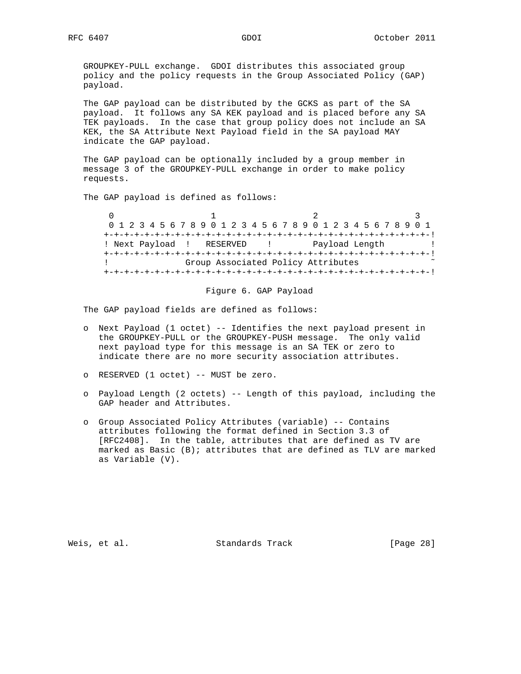GROUPKEY-PULL exchange. GDOI distributes this associated group policy and the policy requests in the Group Associated Policy (GAP) payload.

 The GAP payload can be distributed by the GCKS as part of the SA payload. It follows any SA KEK payload and is placed before any SA TEK payloads. In the case that group policy does not include an SA KEK, the SA Attribute Next Payload field in the SA payload MAY indicate the GAP payload.

 The GAP payload can be optionally included by a group member in message 3 of the GROUPKEY-PULL exchange in order to make policy requests.

The GAP payload is defined as follows:

 $0$  1 2 3 0 1 2 3 4 5 6 7 8 9 0 1 2 3 4 5 6 7 8 9 0 1 2 3 4 5 6 7 8 9 0 1 +-+-+-+-+-+-+-+-+-+-+-+-+-+-+-+-+-+-+-+-+-+-+-+-+-+-+-+-+-+-+-+-! ! Next Payload ! RESERVED ! Payload Length ! +-+-+-+-+-+-+-+-+-+-+-+-+-+-+-+-+-+-+-+-+-+-+-+-+-+-+-+-+-+-+-+-! ! Group Associated Policy Attributes +-+-+-+-+-+-+-+-+-+-+-+-+-+-+-+-+-+-+-+-+-+-+-+-+-+-+-+-+-+-+-+-!

Figure 6. GAP Payload

The GAP payload fields are defined as follows:

- o Next Payload (1 octet) -- Identifies the next payload present in the GROUPKEY-PULL or the GROUPKEY-PUSH message. The only valid next payload type for this message is an SA TEK or zero to indicate there are no more security association attributes.
- o RESERVED (1 octet) -- MUST be zero.
- o Payload Length (2 octets) -- Length of this payload, including the GAP header and Attributes.
- o Group Associated Policy Attributes (variable) -- Contains attributes following the format defined in Section 3.3 of [RFC2408]. In the table, attributes that are defined as TV are marked as Basic  $(B)$ ; attributes that are defined as TLV are marked as Variable (V).

Weis, et al. Standards Track [Page 28]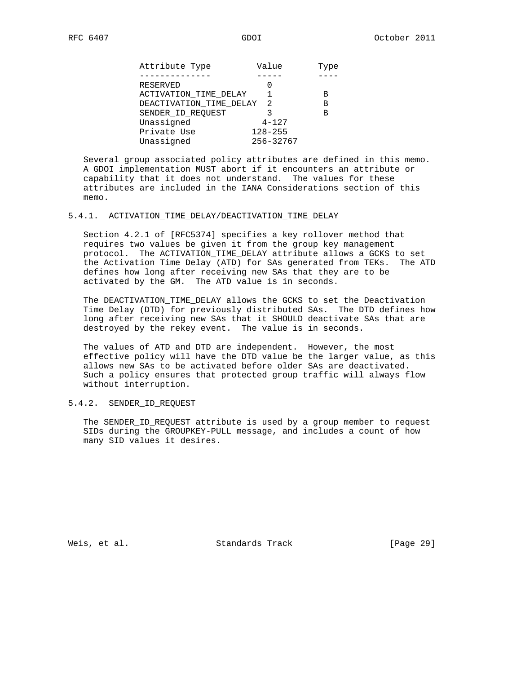| Attribute Type          | Value          | Type |
|-------------------------|----------------|------|
|                         |                |      |
| RESERVED                |                |      |
| ACTIVATION TIME DELAY   |                | В    |
| DEACTIVATION TIME DELAY | $\overline{2}$ | В    |
| SENDER_ID_REQUEST       |                | в    |
| Unassigned              | $4 - 127$      |      |
| Private Use             | $128 - 255$    |      |
| Unassigned              | 256-32767      |      |
|                         |                |      |

 Several group associated policy attributes are defined in this memo. A GDOI implementation MUST abort if it encounters an attribute or capability that it does not understand. The values for these attributes are included in the IANA Considerations section of this memo.

#### 5.4.1. ACTIVATION\_TIME\_DELAY/DEACTIVATION\_TIME\_DELAY

 Section 4.2.1 of [RFC5374] specifies a key rollover method that requires two values be given it from the group key management protocol. The ACTIVATION\_TIME\_DELAY attribute allows a GCKS to set the Activation Time Delay (ATD) for SAs generated from TEKs. The ATD defines how long after receiving new SAs that they are to be activated by the GM. The ATD value is in seconds.

 The DEACTIVATION\_TIME\_DELAY allows the GCKS to set the Deactivation Time Delay (DTD) for previously distributed SAs. The DTD defines how long after receiving new SAs that it SHOULD deactivate SAs that are destroyed by the rekey event. The value is in seconds.

 The values of ATD and DTD are independent. However, the most effective policy will have the DTD value be the larger value, as this allows new SAs to be activated before older SAs are deactivated. Such a policy ensures that protected group traffic will always flow without interruption.

# 5.4.2. SENDER\_ID\_REQUEST

 The SENDER\_ID\_REQUEST attribute is used by a group member to request SIDs during the GROUPKEY-PULL message, and includes a count of how many SID values it desires.

Weis, et al. Standards Track [Page 29]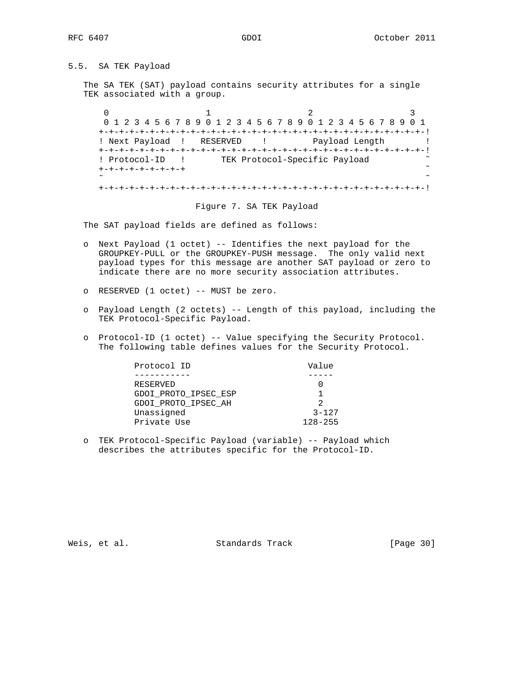### 5.5. SA TEK Payload

 The SA TEK (SAT) payload contains security attributes for a single TEK associated with a group.

0  $1$  2 3 0 1 2 3 4 5 6 7 8 9 0 1 2 3 4 5 6 7 8 9 0 1 2 3 4 5 6 7 8 9 0 1 +-+-+-+-+-+-+-+-+-+-+-+-+-+-+-+-+-+-+-+-+-+-+-+-+-+-+-+-+-+-+-+-! ! Next Payload ! RESERVED ! Payload Length ! +-+-+-+-+-+-+-+-+-+-+-+-+-+-+-+-+-+-+-+-+-+-+-+-+-+-+-+-+-+-+-+-! ! Protocol-ID ! TEK Protocol-Specific Payload ˜ +-+-+-+-+-+-+-+-+ ˜ ˜ ˜ +-+-+-+-+-+-+-+-+-+-+-+-+-+-+-+-+-+-+-+-+-+-+-+-+-+-+-+-+-+-+-+-!

#### Figure 7. SA TEK Payload

The SAT payload fields are defined as follows:

- o Next Payload (1 octet) -- Identifies the next payload for the GROUPKEY-PULL or the GROUPKEY-PUSH message. The only valid next payload types for this message are another SAT payload or zero to indicate there are no more security association attributes.
- o RESERVED (1 octet) -- MUST be zero.
- o Payload Length (2 octets) -- Length of this payload, including the TEK Protocol-Specific Payload.
- o Protocol-ID (1 octet) -- Value specifying the Security Protocol. The following table defines values for the Security Protocol.

| Protocol ID          | Value         |
|----------------------|---------------|
|                      |               |
| RESERVED             |               |
| GDOI PROTO IPSEC ESP |               |
| GDOI PROTO IPSEC AH  | $\mathcal{D}$ |
| Unassigned           | $3 - 127$     |
| Private Use          | $128 - 255$   |

 o TEK Protocol-Specific Payload (variable) -- Payload which describes the attributes specific for the Protocol-ID.

Weis, et al. Standards Track [Page 30]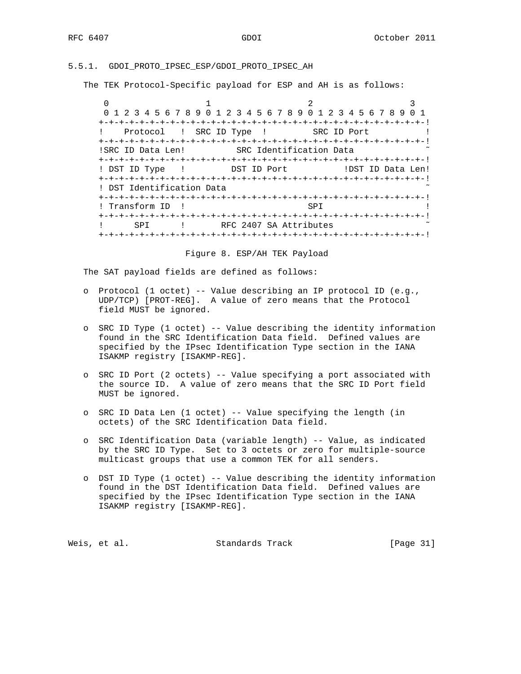#### 5.5.1. GDOI\_PROTO\_IPSEC\_ESP/GDOI\_PROTO\_IPSEC\_AH

The TEK Protocol-Specific payload for ESP and AH is as follows:

 $0$  1 2 3 0 1 2 3 4 5 6 7 8 9 0 1 2 3 4 5 6 7 8 9 0 1 2 3 4 5 6 7 8 9 0 1 +-+-+-+-+-+-+-+-+-+-+-+-+-+-+-+-+-+-+-+-+-+-+-+-+-+-+-+-+-+-+-+-! ! Protocol ! SRC ID Type ! SRC ID Port ! +-+-+-+-+-+-+-+-+-+-+-+-+-+-+-+-+-+-+-+-+-+-+-+-+-+-+-+-+-+-+-+-! !SRC ID Data Len! SRC Identification Data +-+-+-+-+-+-+-+-+-+-+-+-+-+-+-+-+-+-+-+-+-+-+-+-+-+-+-+-+-+-+-+-! ! DST ID Type ! DST ID Port ! ! DST ID Data Len! +-+-+-+-+-+-+-+-+-+-+-+-+-+-+-+-+-+-+-+-+-+-+-+-+-+-+-+-+-+-+-+-! ! DST Identification Data +-+-+-+-+-+-+-+-+-+-+-+-+-+-+-+-+-+-+-+-+-+-+-+-+-+-+-+-+-+-+-+-! ! Transform ID ! SPI ! +-+-+-+-+-+-+-+-+-+-+-+-+-+-+-+-+-+-+-+-+-+-+-+-+-+-+-+-+-+-+-+-! ! SPI ! RFC 2407 SA Attributes +-+-+-+-+-+-+-+-+-+-+-+-+-+-+-+-+-+-+-+-+-+-+-+-+-+-+-+-+-+-+-+-!

Figure 8. ESP/AH TEK Payload

The SAT payload fields are defined as follows:

- o Protocol (1 octet) -- Value describing an IP protocol ID (e.g., UDP/TCP) [PROT-REG]. A value of zero means that the Protocol field MUST be ignored.
- o SRC ID Type (1 octet) -- Value describing the identity information found in the SRC Identification Data field. Defined values are specified by the IPsec Identification Type section in the IANA ISAKMP registry [ISAKMP-REG].
- o SRC ID Port (2 octets) -- Value specifying a port associated with the source ID. A value of zero means that the SRC ID Port field MUST be ignored.
- o SRC ID Data Len (1 octet) -- Value specifying the length (in octets) of the SRC Identification Data field.
- o SRC Identification Data (variable length) -- Value, as indicated by the SRC ID Type. Set to 3 octets or zero for multiple-source multicast groups that use a common TEK for all senders.
- o DST ID Type (1 octet) -- Value describing the identity information found in the DST Identification Data field. Defined values are specified by the IPsec Identification Type section in the IANA ISAKMP registry [ISAKMP-REG].

Weis, et al. Standards Track [Page 31]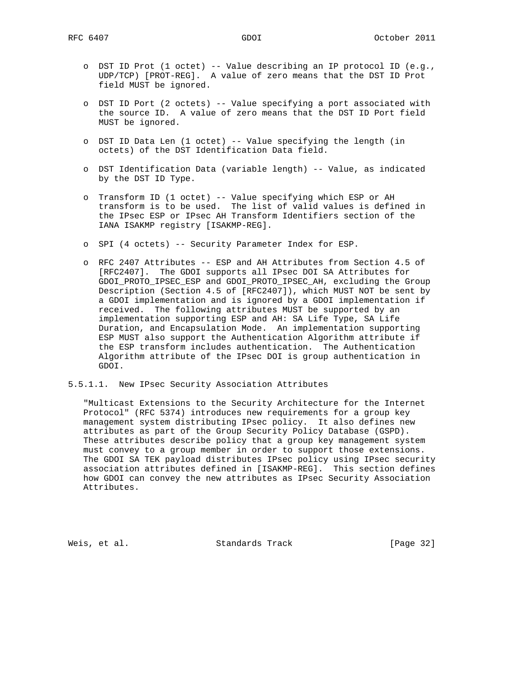- o DST ID Prot (1 octet) -- Value describing an IP protocol ID (e.g., UDP/TCP) [PROT-REG]. A value of zero means that the DST ID Prot field MUST be ignored.
- o DST ID Port (2 octets) -- Value specifying a port associated with the source ID. A value of zero means that the DST ID Port field MUST be ignored.
- o DST ID Data Len (1 octet) -- Value specifying the length (in octets) of the DST Identification Data field.
- o DST Identification Data (variable length) -- Value, as indicated by the DST ID Type.
- o Transform ID (1 octet) -- Value specifying which ESP or AH transform is to be used. The list of valid values is defined in the IPsec ESP or IPsec AH Transform Identifiers section of the IANA ISAKMP registry [ISAKMP-REG].
- o SPI (4 octets) -- Security Parameter Index for ESP.
- o RFC 2407 Attributes -- ESP and AH Attributes from Section 4.5 of [RFC2407]. The GDOI supports all IPsec DOI SA Attributes for GDOI\_PROTO\_IPSEC\_ESP and GDOI\_PROTO\_IPSEC\_AH, excluding the Group Description (Section 4.5 of [RFC2407]), which MUST NOT be sent by a GDOI implementation and is ignored by a GDOI implementation if received. The following attributes MUST be supported by an implementation supporting ESP and AH: SA Life Type, SA Life Duration, and Encapsulation Mode. An implementation supporting ESP MUST also support the Authentication Algorithm attribute if the ESP transform includes authentication. The Authentication Algorithm attribute of the IPsec DOI is group authentication in GDOI.
- 5.5.1.1. New IPsec Security Association Attributes

 "Multicast Extensions to the Security Architecture for the Internet Protocol" (RFC 5374) introduces new requirements for a group key management system distributing IPsec policy. It also defines new attributes as part of the Group Security Policy Database (GSPD). These attributes describe policy that a group key management system must convey to a group member in order to support those extensions. The GDOI SA TEK payload distributes IPsec policy using IPsec security association attributes defined in [ISAKMP-REG]. This section defines how GDOI can convey the new attributes as IPsec Security Association Attributes.

Weis, et al. Standards Track [Page 32]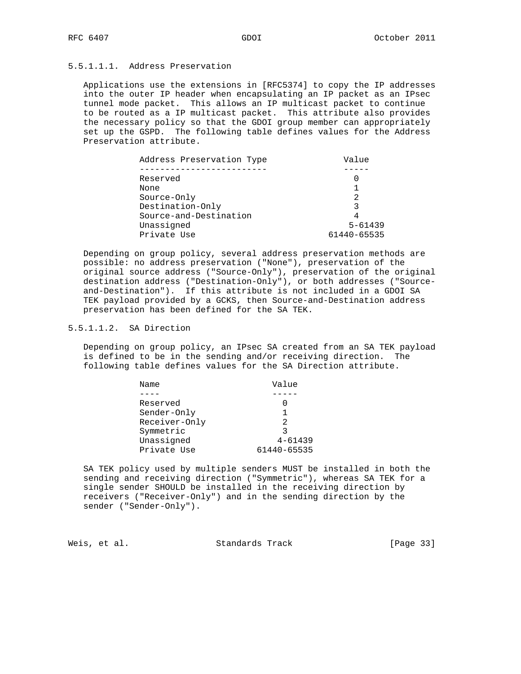# 5.5.1.1.1. Address Preservation

 Applications use the extensions in [RFC5374] to copy the IP addresses into the outer IP header when encapsulating an IP packet as an IPsec tunnel mode packet. This allows an IP multicast packet to continue to be routed as a IP multicast packet. This attribute also provides the necessary policy so that the GDOI group member can appropriately set up the GSPD. The following table defines values for the Address Preservation attribute.

| Address Preservation Type | Value       |
|---------------------------|-------------|
|                           |             |
| Reserved                  |             |
| None                      |             |
| Source-Only               | 2           |
| Destination-Only          | 3           |
| Source-and-Destination    | 4           |
| Unassigned                | $5 - 61439$ |
| Private Use               | 61440-65535 |

 Depending on group policy, several address preservation methods are possible: no address preservation ("None"), preservation of the original source address ("Source-Only"), preservation of the original destination address ("Destination-Only"), or both addresses ("Source and-Destination"). If this attribute is not included in a GDOI SA TEK payload provided by a GCKS, then Source-and-Destination address preservation has been defined for the SA TEK.

# 5.5.1.1.2. SA Direction

 Depending on group policy, an IPsec SA created from an SA TEK payload is defined to be in the sending and/or receiving direction. The following table defines values for the SA Direction attribute.

| Name          | Value       |
|---------------|-------------|
|               |             |
| Reserved      |             |
| Sender-Only   |             |
| Receiver-Only | 2           |
| Symmetric     | ર           |
| Unassigned    | $4 - 61439$ |
| Private Use   | 61440-65535 |

 SA TEK policy used by multiple senders MUST be installed in both the sending and receiving direction ("Symmetric"), whereas SA TEK for a single sender SHOULD be installed in the receiving direction by receivers ("Receiver-Only") and in the sending direction by the sender ("Sender-Only").

Weis, et al. Standards Track [Page 33]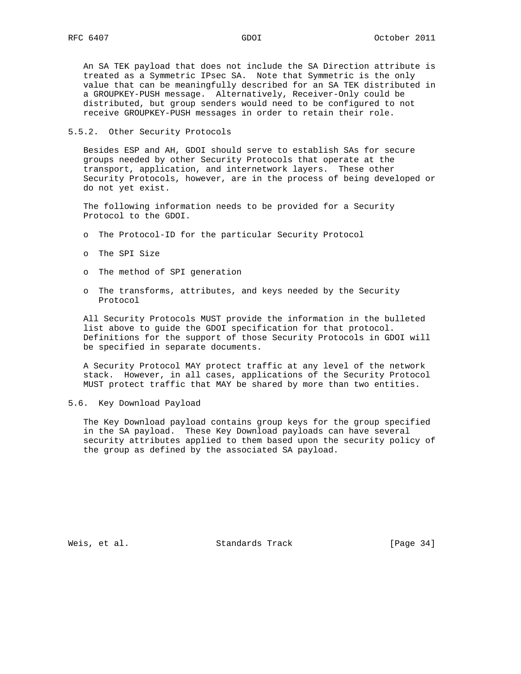An SA TEK payload that does not include the SA Direction attribute is treated as a Symmetric IPsec SA. Note that Symmetric is the only value that can be meaningfully described for an SA TEK distributed in a GROUPKEY-PUSH message. Alternatively, Receiver-Only could be distributed, but group senders would need to be configured to not receive GROUPKEY-PUSH messages in order to retain their role.

5.5.2. Other Security Protocols

 Besides ESP and AH, GDOI should serve to establish SAs for secure groups needed by other Security Protocols that operate at the transport, application, and internetwork layers. These other Security Protocols, however, are in the process of being developed or do not yet exist.

 The following information needs to be provided for a Security Protocol to the GDOI.

- o The Protocol-ID for the particular Security Protocol
- o The SPI Size
- o The method of SPI generation
- o The transforms, attributes, and keys needed by the Security Protocol

 All Security Protocols MUST provide the information in the bulleted list above to guide the GDOI specification for that protocol. Definitions for the support of those Security Protocols in GDOI will be specified in separate documents.

 A Security Protocol MAY protect traffic at any level of the network stack. However, in all cases, applications of the Security Protocol MUST protect traffic that MAY be shared by more than two entities.

5.6. Key Download Payload

 The Key Download payload contains group keys for the group specified in the SA payload. These Key Download payloads can have several security attributes applied to them based upon the security policy of the group as defined by the associated SA payload.

Weis, et al. Standards Track [Page 34]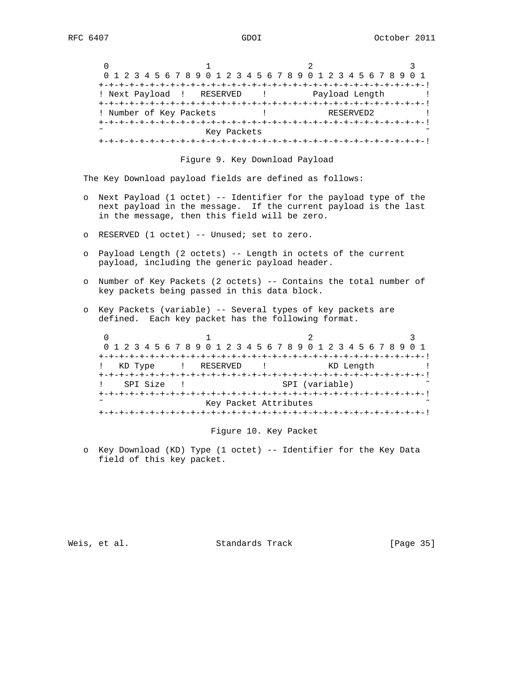$0$  1 2 3 0 1 2 3 4 5 6 7 8 9 0 1 2 3 4 5 6 7 8 9 0 1 2 3 4 5 6 7 8 9 0 1 +-+-+-+-+-+-+-+-+-+-+-+-+-+-+-+-+-+-+-+-+-+-+-+-+-+-+-+-+-+-+-+-! ! Next Payload ! RESERVED ! Payload Length ! +-+-+-+-+-+-+-+-+-+-+-+-+-+-+-+-+-+-+-+-+-+-+-+-+-+-+-+-+-+-+-+-! ! Number of Key Packets ! RESERVED2 ! +-+-+-+-+-+-+-+-+-+-+-+-+-+-+-+-+-+-+-+-+-+-+-+-+-+-+-+-+-+-+-+-! Key Packets +-+-+-+-+-+-+-+-+-+-+-+-+-+-+-+-+-+-+-+-+-+-+-+-+-+-+-+-+-+-+-+-!

#### Figure 9. Key Download Payload

The Key Download payload fields are defined as follows:

- o Next Payload (1 octet) -- Identifier for the payload type of the next payload in the message. If the current payload is the last in the message, then this field will be zero.
- o RESERVED (1 octet) -- Unused; set to zero.
- o Payload Length (2 octets) -- Length in octets of the current payload, including the generic payload header.
- o Number of Key Packets (2 octets) -- Contains the total number of key packets being passed in this data block.
- o Key Packets (variable) -- Several types of key packets are defined. Each key packet has the following format.

0  $1$  2 3 0 1 2 3 4 5 6 7 8 9 0 1 2 3 4 5 6 7 8 9 0 1 2 3 4 5 6 7 8 9 0 1 +-+-+-+-+-+-+-+-+-+-+-+-+-+-+-+-+-+-+-+-+-+-+-+-+-+-+-+-+-+-+-+-! ! KD Type ! RESERVED ! KD Length ! +-+-+-+-+-+-+-+-+-+-+-+-+-+-+-+-+-+-+-+-+-+-+-+-+-+-+-+-+-+-+-+-! ! SPI Size ! SPI (variable) +-+-+-+-+-+-+-+-+-+-+-+-+-+-+-+-+-+-+-+-+-+-+-+-+-+-+-+-+-+-+-+-! Key Packet Attributes +-+-+-+-+-+-+-+-+-+-+-+-+-+-+-+-+-+-+-+-+-+-+-+-+-+-+-+-+-+-+-+-!

## Figure 10. Key Packet

 o Key Download (KD) Type (1 octet) -- Identifier for the Key Data field of this key packet.

Weis, et al. Standards Track [Page 35]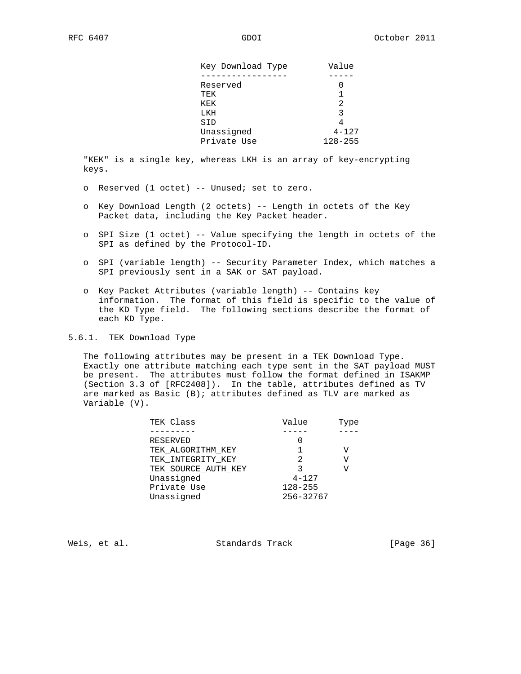| Key Download Type | Value       |
|-------------------|-------------|
|                   |             |
| Reserved          |             |
| TEK               | 1           |
| KEK               | 2           |
| LKH               | 3           |
| SID               | 4           |
| Unassigned        | $4 - 127$   |
| Private Use       | $128 - 255$ |

 "KEK" is a single key, whereas LKH is an array of key-encrypting keys.

- o Reserved (1 octet) -- Unused; set to zero.
- o Key Download Length (2 octets) -- Length in octets of the Key Packet data, including the Key Packet header.
- o SPI Size (1 octet) -- Value specifying the length in octets of the SPI as defined by the Protocol-ID.
- o SPI (variable length) -- Security Parameter Index, which matches a SPI previously sent in a SAK or SAT payload.
- o Key Packet Attributes (variable length) -- Contains key information. The format of this field is specific to the value of the KD Type field. The following sections describe the format of each KD Type.

## 5.6.1. TEK Download Type

 The following attributes may be present in a TEK Download Type. Exactly one attribute matching each type sent in the SAT payload MUST be present. The attributes must follow the format defined in ISAKMP (Section 3.3 of [RFC2408]). In the table, attributes defined as TV are marked as Basic (B); attributes defined as TLV are marked as Variable (V).

| TEK Class           | Value       | Type |
|---------------------|-------------|------|
|                     |             |      |
| RESERVED            |             |      |
| TEK ALGORITHM KEY   |             |      |
| TEK INTEGRITY KEY   |             | V    |
| TEK SOURCE AUTH KEY |             |      |
| Unassigned          | $4 - 127$   |      |
| Private Use         | $128 - 255$ |      |
| Unassigned          | 256-32767   |      |
|                     |             |      |

Weis, et al. Standards Track [Page 36]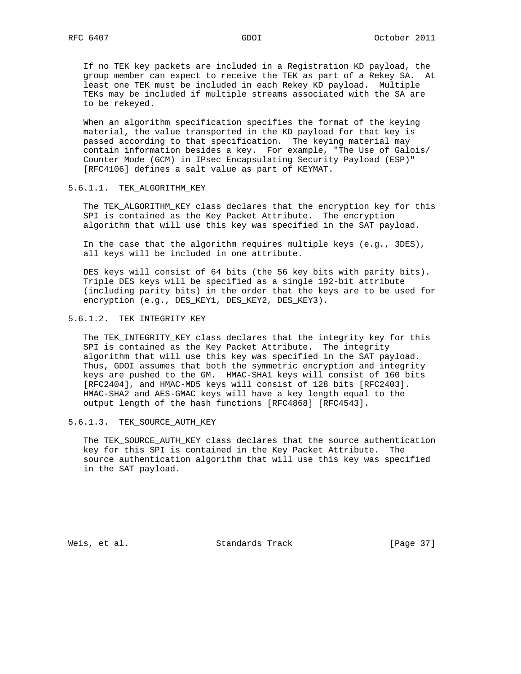If no TEK key packets are included in a Registration KD payload, the group member can expect to receive the TEK as part of a Rekey SA. At least one TEK must be included in each Rekey KD payload. Multiple TEKs may be included if multiple streams associated with the SA are to be rekeyed.

 When an algorithm specification specifies the format of the keying material, the value transported in the KD payload for that key is passed according to that specification. The keying material may contain information besides a key. For example, "The Use of Galois/ Counter Mode (GCM) in IPsec Encapsulating Security Payload (ESP)" [RFC4106] defines a salt value as part of KEYMAT.

#### 5.6.1.1. TEK\_ALGORITHM\_KEY

 The TEK\_ALGORITHM\_KEY class declares that the encryption key for this SPI is contained as the Key Packet Attribute. The encryption algorithm that will use this key was specified in the SAT payload.

 In the case that the algorithm requires multiple keys (e.g., 3DES), all keys will be included in one attribute.

 DES keys will consist of 64 bits (the 56 key bits with parity bits). Triple DES keys will be specified as a single 192-bit attribute (including parity bits) in the order that the keys are to be used for encryption (e.g., DES\_KEY1, DES\_KEY2, DES\_KEY3).

#### 5.6.1.2. TEK\_INTEGRITY\_KEY

 The TEK\_INTEGRITY\_KEY class declares that the integrity key for this SPI is contained as the Key Packet Attribute. The integrity algorithm that will use this key was specified in the SAT payload. Thus, GDOI assumes that both the symmetric encryption and integrity keys are pushed to the GM. HMAC-SHA1 keys will consist of 160 bits [RFC2404], and HMAC-MD5 keys will consist of 128 bits [RFC2403]. HMAC-SHA2 and AES-GMAC keys will have a key length equal to the output length of the hash functions [RFC4868] [RFC4543].

## 5.6.1.3. TEK\_SOURCE\_AUTH\_KEY

 The TEK\_SOURCE\_AUTH\_KEY class declares that the source authentication key for this SPI is contained in the Key Packet Attribute. The source authentication algorithm that will use this key was specified in the SAT payload.

Weis, et al. Standards Track [Page 37]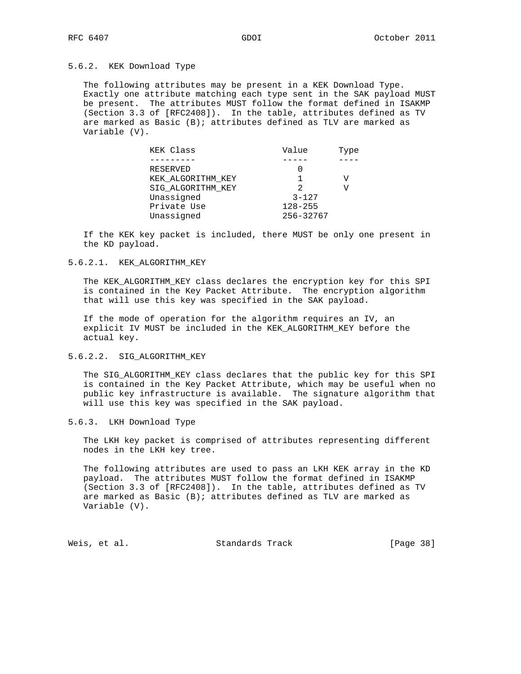## 5.6.2. KEK Download Type

 The following attributes may be present in a KEK Download Type. Exactly one attribute matching each type sent in the SAK payload MUST be present. The attributes MUST follow the format defined in ISAKMP (Section 3.3 of [RFC2408]). In the table, attributes defined as TV are marked as Basic (B); attributes defined as TLV are marked as Variable (V).

| KEK Class         | Value       | Type |
|-------------------|-------------|------|
|                   |             |      |
| RESERVED          |             |      |
| KEK ALGORITHM KEY |             |      |
| SIG ALGORITHM KEY | 2           | V    |
| Unassigned        | $3 - 127$   |      |
| Private Use       | $128 - 255$ |      |
| Unassigned        | 256-32767   |      |

 If the KEK key packet is included, there MUST be only one present in the KD payload.

#### 5.6.2.1. KEK\_ALGORITHM\_KEY

 The KEK\_ALGORITHM\_KEY class declares the encryption key for this SPI is contained in the Key Packet Attribute. The encryption algorithm that will use this key was specified in the SAK payload.

 If the mode of operation for the algorithm requires an IV, an explicit IV MUST be included in the KEK\_ALGORITHM\_KEY before the actual key.

#### 5.6.2.2. SIG\_ALGORITHM\_KEY

The SIG ALGORITHM KEY class declares that the public key for this SPI is contained in the Key Packet Attribute, which may be useful when no public key infrastructure is available. The signature algorithm that will use this key was specified in the SAK payload.

## 5.6.3. LKH Download Type

 The LKH key packet is comprised of attributes representing different nodes in the LKH key tree.

 The following attributes are used to pass an LKH KEK array in the KD payload. The attributes MUST follow the format defined in ISAKMP (Section 3.3 of [RFC2408]). In the table, attributes defined as TV are marked as Basic (B); attributes defined as TLV are marked as Variable (V).

Weis, et al. Standards Track [Page 38]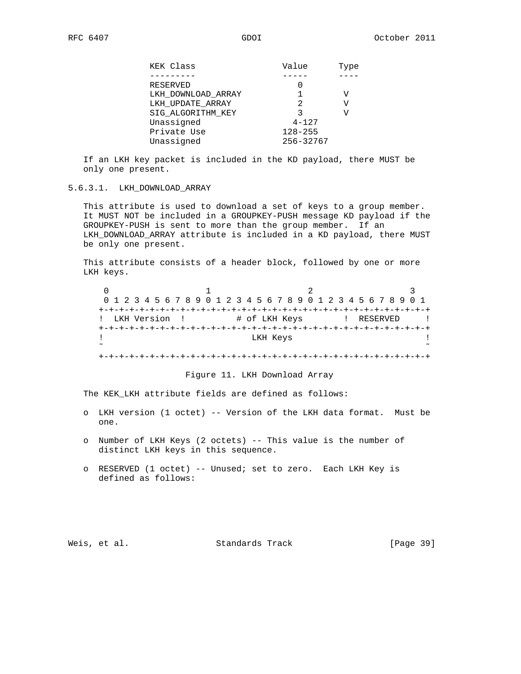| KEK Class          | Value       | Type |
|--------------------|-------------|------|
|                    |             |      |
| RESERVED           |             |      |
| LKH DOWNLOAD ARRAY |             |      |
| LKH UPDATE ARRAY   | 2           | V    |
| SIG ALGORITHM KEY  | २           | V    |
| Unassigned         | $4 - 127$   |      |
| Private Use        | $128 - 255$ |      |
| Unassigned         | 256-32767   |      |

 If an LKH key packet is included in the KD payload, there MUST be only one present.

5.6.3.1. LKH\_DOWNLOAD\_ARRAY

 This attribute is used to download a set of keys to a group member. It MUST NOT be included in a GROUPKEY-PUSH message KD payload if the GROUPKEY-PUSH is sent to more than the group member. If an LKH\_DOWNLOAD\_ARRAY attribute is included in a KD payload, there MUST be only one present.

 This attribute consists of a header block, followed by one or more LKH keys.

| 0 1 2 3 4 5 6 7 8 9 0 1 2 3 4 5 6 7 8 9 0 1 2 3 4 5 6 7 8 9 0 1 |                                         |            |  |
|-----------------------------------------------------------------|-----------------------------------------|------------|--|
|                                                                 |                                         |            |  |
| LKH Version !                                                   | # of LKH Keys                           | ! RESERVED |  |
|                                                                 | +-+-+-+-+-+-+-+-+-+-+-+-+-+-+-+-+-+-+-+ |            |  |
|                                                                 | LKH Keys                                |            |  |
| $\sim$                                                          |                                         |            |  |

### Figure 11. LKH Download Array

The KEK\_LKH attribute fields are defined as follows:

- o LKH version (1 octet) -- Version of the LKH data format. Must be one.
- o Number of LKH Keys (2 octets) -- This value is the number of distinct LKH keys in this sequence.
- o RESERVED (1 octet) -- Unused; set to zero. Each LKH Key is defined as follows:

|  | Weis, et al. | Standards Track | [Page 39] |  |
|--|--------------|-----------------|-----------|--|
|--|--------------|-----------------|-----------|--|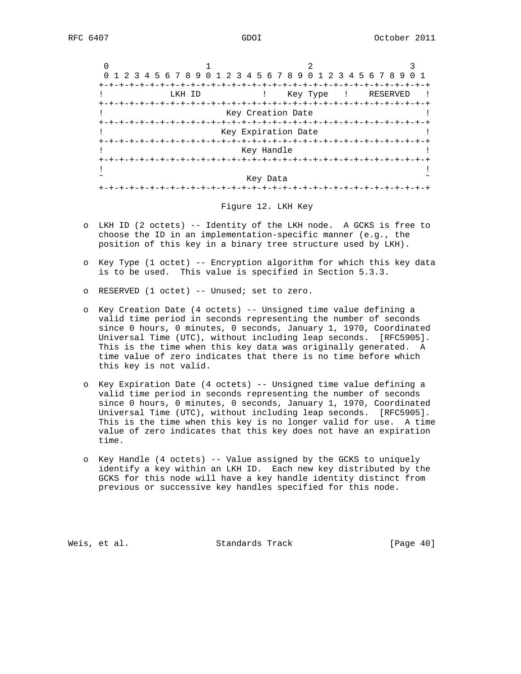|                           |                    | 1 2 3 4 5 6 7 8 9 0 1 2 3 4 5 6 7 8 9 0 1 2 3 4 5 6 7 8 9 |          |
|---------------------------|--------------------|-----------------------------------------------------------|----------|
| +-+-+-+-+-+-+-+-+-        | -+-+-+-+-+-+-+-+-+ |                                                           |          |
|                           | LKH ID             | Key Type !                                                | RESERVED |
|                           | -+-+-+-+-+-        | +-+-+-+-+-+-+-+-+-+-+-+-+-+-                              |          |
|                           |                    | Key Creation Date                                         |          |
| $+ - + - + - + - + - + -$ |                    |                                                           |          |
|                           |                    | Key Expiration Date                                       |          |
|                           | -+-+-+-+-+         | +-+-+-+-+-+-+-+-+                                         |          |
|                           |                    | Key Handle                                                |          |
|                           |                    |                                                           |          |
|                           |                    |                                                           |          |
|                           |                    | Key Data                                                  |          |
|                           |                    |                                                           |          |

#### Figure 12. LKH Key

- o LKH ID (2 octets) -- Identity of the LKH node. A GCKS is free to choose the ID in an implementation-specific manner (e.g., the position of this key in a binary tree structure used by LKH).
- o Key Type (1 octet) -- Encryption algorithm for which this key data is to be used. This value is specified in Section 5.3.3.
- o RESERVED (1 octet) -- Unused; set to zero.
- o Key Creation Date (4 octets) -- Unsigned time value defining a valid time period in seconds representing the number of seconds since 0 hours, 0 minutes, 0 seconds, January 1, 1970, Coordinated Universal Time (UTC), without including leap seconds. [RFC5905]. This is the time when this key data was originally generated. A time value of zero indicates that there is no time before which this key is not valid.
- o Key Expiration Date (4 octets) -- Unsigned time value defining a valid time period in seconds representing the number of seconds since 0 hours, 0 minutes, 0 seconds, January 1, 1970, Coordinated Universal Time (UTC), without including leap seconds. [RFC5905]. This is the time when this key is no longer valid for use. A time value of zero indicates that this key does not have an expiration time.
- o Key Handle (4 octets) -- Value assigned by the GCKS to uniquely identify a key within an LKH ID. Each new key distributed by the GCKS for this node will have a key handle identity distinct from previous or successive key handles specified for this node.

Weis, et al. Standards Track [Page 40]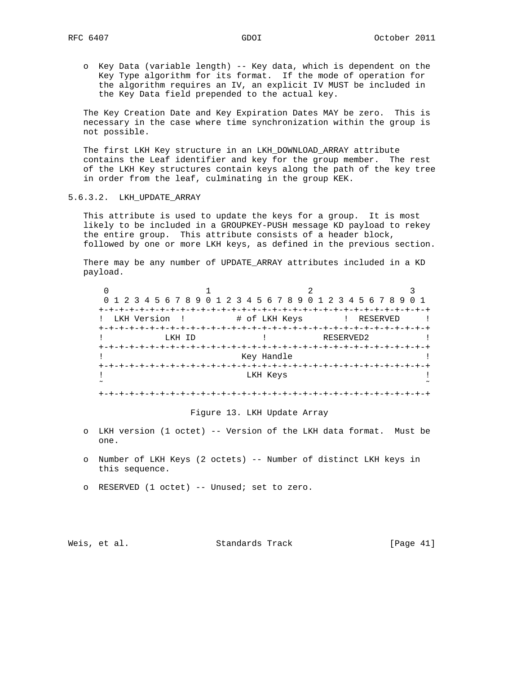o Key Data (variable length) -- Key data, which is dependent on the Key Type algorithm for its format. If the mode of operation for the algorithm requires an IV, an explicit IV MUST be included in the Key Data field prepended to the actual key.

 The Key Creation Date and Key Expiration Dates MAY be zero. This is necessary in the case where time synchronization within the group is not possible.

 The first LKH Key structure in an LKH\_DOWNLOAD\_ARRAY attribute contains the Leaf identifier and key for the group member. The rest of the LKH Key structures contain keys along the path of the key tree in order from the leaf, culminating in the group KEK.

## 5.6.3.2. LKH\_UPDATE\_ARRAY

 This attribute is used to update the keys for a group. It is most likely to be included in a GROUPKEY-PUSH message KD payload to rekey the entire group. This attribute consists of a header block, followed by one or more LKH keys, as defined in the previous section.

 There may be any number of UPDATE\_ARRAY attributes included in a KD payload.

| 0 1 2 3 4 5 6 7 8 9 0 1 2 3 4 5 6 7 8 9 0 1 2 3 4 5 6 7 8 9 0 1 |                               |           |  |
|-----------------------------------------------------------------|-------------------------------|-----------|--|
|                                                                 |                               |           |  |
| LKH Version                                                     | # of LKH Keys                 | RESERVED  |  |
|                                                                 |                               |           |  |
| LKH ID                                                          |                               | RESERVED2 |  |
|                                                                 |                               |           |  |
|                                                                 | Key Handle                    |           |  |
|                                                                 | -+-+-+-+-+-+-+-+-+-+-+-+-+-+- |           |  |
|                                                                 | LKH Keys                      |           |  |
|                                                                 |                               |           |  |
|                                                                 |                               |           |  |

#### Figure 13. LKH Update Array

- o LKH version (1 octet) -- Version of the LKH data format. Must be one.
- o Number of LKH Keys (2 octets) -- Number of distinct LKH keys in this sequence.
- o RESERVED (1 octet) -- Unused; set to zero.

Weis, et al. Standards Track [Page 41]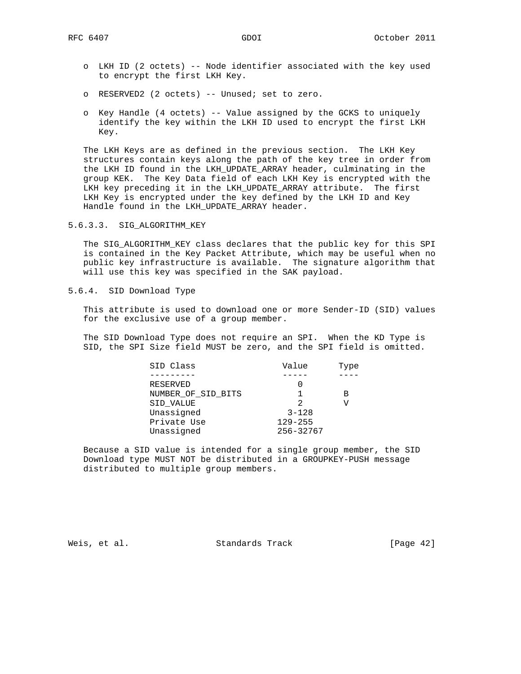- o LKH ID (2 octets) -- Node identifier associated with the key used to encrypt the first LKH Key.
- o RESERVED2 (2 octets) -- Unused; set to zero.
- o Key Handle (4 octets) -- Value assigned by the GCKS to uniquely identify the key within the LKH ID used to encrypt the first LKH Key.

 The LKH Keys are as defined in the previous section. The LKH Key structures contain keys along the path of the key tree in order from the LKH ID found in the LKH\_UPDATE\_ARRAY header, culminating in the group KEK. The Key Data field of each LKH Key is encrypted with the LKH key preceding it in the LKH\_UPDATE\_ARRAY attribute. The first LKH Key is encrypted under the key defined by the LKH ID and Key Handle found in the LKH\_UPDATE\_ARRAY header.

5.6.3.3. SIG\_ALGORITHM\_KEY

 The SIG\_ALGORITHM\_KEY class declares that the public key for this SPI is contained in the Key Packet Attribute, which may be useful when no public key infrastructure is available. The signature algorithm that will use this key was specified in the SAK payload.

5.6.4. SID Download Type

 This attribute is used to download one or more Sender-ID (SID) values for the exclusive use of a group member.

 The SID Download Type does not require an SPI. When the KD Type is SID, the SPI Size field MUST be zero, and the SPI field is omitted.

| SID Class          | Value          | Type |
|--------------------|----------------|------|
|                    |                |      |
| RESERVED           |                |      |
| NUMBER OF SID BITS |                | в    |
| SID VALUE          | $\mathfrak{D}$ | V    |
| Unassigned         | $3 - 128$      |      |
| Private Use        | $129 - 255$    |      |
| Unassigned         | 256-32767      |      |

 Because a SID value is intended for a single group member, the SID Download type MUST NOT be distributed in a GROUPKEY-PUSH message distributed to multiple group members.

Weis, et al. Standards Track [Page 42]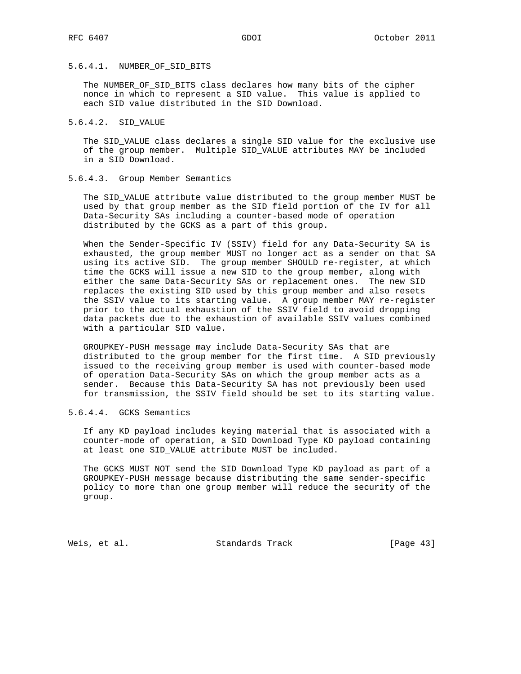## 5.6.4.1. NUMBER\_OF\_SID\_BITS

 The NUMBER\_OF\_SID\_BITS class declares how many bits of the cipher nonce in which to represent a SID value. This value is applied to each SID value distributed in the SID Download.

#### 5.6.4.2. SID\_VALUE

 The SID\_VALUE class declares a single SID value for the exclusive use of the group member. Multiple SID\_VALUE attributes MAY be included in a SID Download.

## 5.6.4.3. Group Member Semantics

 The SID\_VALUE attribute value distributed to the group member MUST be used by that group member as the SID field portion of the IV for all Data-Security SAs including a counter-based mode of operation distributed by the GCKS as a part of this group.

 When the Sender-Specific IV (SSIV) field for any Data-Security SA is exhausted, the group member MUST no longer act as a sender on that SA using its active SID. The group member SHOULD re-register, at which time the GCKS will issue a new SID to the group member, along with either the same Data-Security SAs or replacement ones. The new SID replaces the existing SID used by this group member and also resets the SSIV value to its starting value. A group member MAY re-register prior to the actual exhaustion of the SSIV field to avoid dropping data packets due to the exhaustion of available SSIV values combined with a particular SID value.

 GROUPKEY-PUSH message may include Data-Security SAs that are distributed to the group member for the first time. A SID previously issued to the receiving group member is used with counter-based mode of operation Data-Security SAs on which the group member acts as a sender. Because this Data-Security SA has not previously been used for transmission, the SSIV field should be set to its starting value.

## 5.6.4.4. GCKS Semantics

 If any KD payload includes keying material that is associated with a counter-mode of operation, a SID Download Type KD payload containing at least one SID\_VALUE attribute MUST be included.

 The GCKS MUST NOT send the SID Download Type KD payload as part of a GROUPKEY-PUSH message because distributing the same sender-specific policy to more than one group member will reduce the security of the group.

Weis, et al. Standards Track [Page 43]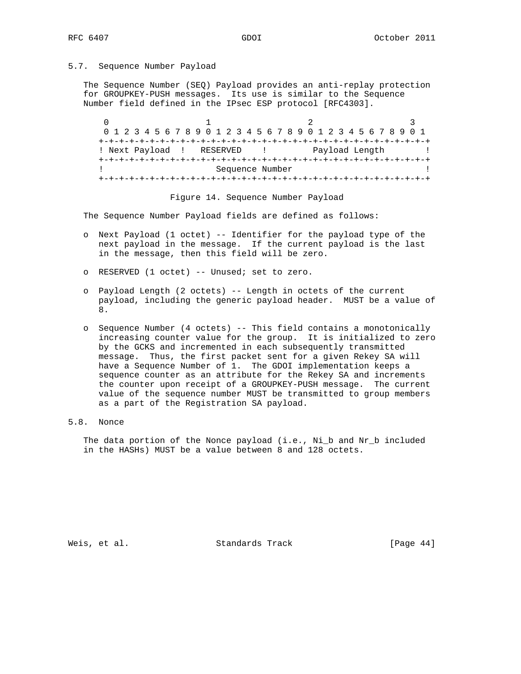### 5.7. Sequence Number Payload

 The Sequence Number (SEQ) Payload provides an anti-replay protection for GROUPKEY-PUSH messages. Its use is similar to the Sequence Number field defined in the IPsec ESP protocol [RFC4303].

 $0$  1 2 3 0 1 2 3 4 5 6 7 8 9 0 1 2 3 4 5 6 7 8 9 0 1 2 3 4 5 6 7 8 9 0 1 +-+-+-+-+-+-+-+-+-+-+-+-+-+-+-+-+-+-+-+-+-+-+-+-+-+-+-+-+-+-+-+-+ ! Next Payload ! RESERVED ! Payload Length ! +-+-+-+-+-+-+-+-+-+-+-+-+-+-+-+-+-+-+-+-+-+-+-+-+-+-+-+-+-+-+-+-+ ! Sequence Number ! +-+-+-+-+-+-+-+-+-+-+-+-+-+-+-+-+-+-+-+-+-+-+-+-+-+-+-+-+-+-+-+-+

Figure 14. Sequence Number Payload

The Sequence Number Payload fields are defined as follows:

- o Next Payload (1 octet) -- Identifier for the payload type of the next payload in the message. If the current payload is the last in the message, then this field will be zero.
- o RESERVED (1 octet) -- Unused; set to zero.
- o Payload Length (2 octets) -- Length in octets of the current payload, including the generic payload header. MUST be a value of 8.
- o Sequence Number (4 octets) -- This field contains a monotonically increasing counter value for the group. It is initialized to zero by the GCKS and incremented in each subsequently transmitted message. Thus, the first packet sent for a given Rekey SA will have a Sequence Number of 1. The GDOI implementation keeps a sequence counter as an attribute for the Rekey SA and increments the counter upon receipt of a GROUPKEY-PUSH message. The current value of the sequence number MUST be transmitted to group members as a part of the Registration SA payload.

# 5.8. Nonce

 The data portion of the Nonce payload (i.e., Ni\_b and Nr\_b included in the HASHs) MUST be a value between 8 and 128 octets.

Weis, et al. Standards Track [Page 44]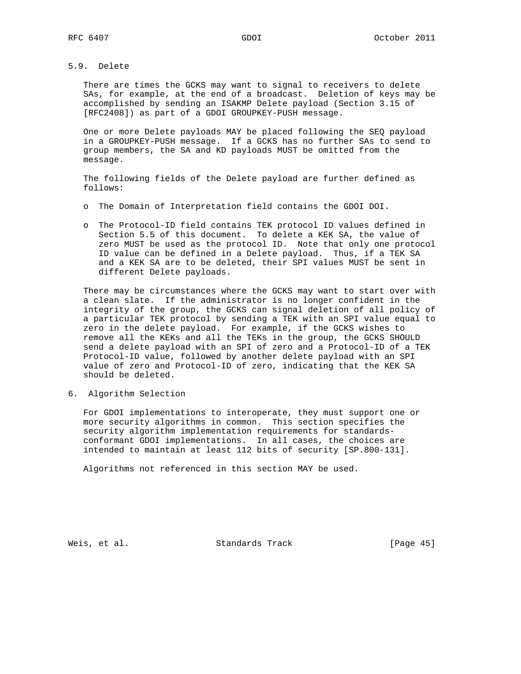## 5.9. Delete

 There are times the GCKS may want to signal to receivers to delete SAs, for example, at the end of a broadcast. Deletion of keys may be accomplished by sending an ISAKMP Delete payload (Section 3.15 of [RFC2408]) as part of a GDOI GROUPKEY-PUSH message.

 One or more Delete payloads MAY be placed following the SEQ payload in a GROUPKEY-PUSH message. If a GCKS has no further SAs to send to group members, the SA and KD payloads MUST be omitted from the message.

 The following fields of the Delete payload are further defined as follows:

- o The Domain of Interpretation field contains the GDOI DOI.
- o The Protocol-ID field contains TEK protocol ID values defined in Section 5.5 of this document. To delete a KEK SA, the value of zero MUST be used as the protocol ID. Note that only one protocol ID value can be defined in a Delete payload. Thus, if a TEK SA and a KEK SA are to be deleted, their SPI values MUST be sent in different Delete payloads.

 There may be circumstances where the GCKS may want to start over with a clean slate. If the administrator is no longer confident in the integrity of the group, the GCKS can signal deletion of all policy of a particular TEK protocol by sending a TEK with an SPI value equal to zero in the delete payload. For example, if the GCKS wishes to remove all the KEKs and all the TEKs in the group, the GCKS SHOULD send a delete payload with an SPI of zero and a Protocol-ID of a TEK Protocol-ID value, followed by another delete payload with an SPI value of zero and Protocol-ID of zero, indicating that the KEK SA should be deleted.

6. Algorithm Selection

 For GDOI implementations to interoperate, they must support one or more security algorithms in common. This section specifies the security algorithm implementation requirements for standards conformant GDOI implementations. In all cases, the choices are intended to maintain at least 112 bits of security [SP.800-131].

Algorithms not referenced in this section MAY be used.

Weis, et al. Standards Track [Page 45]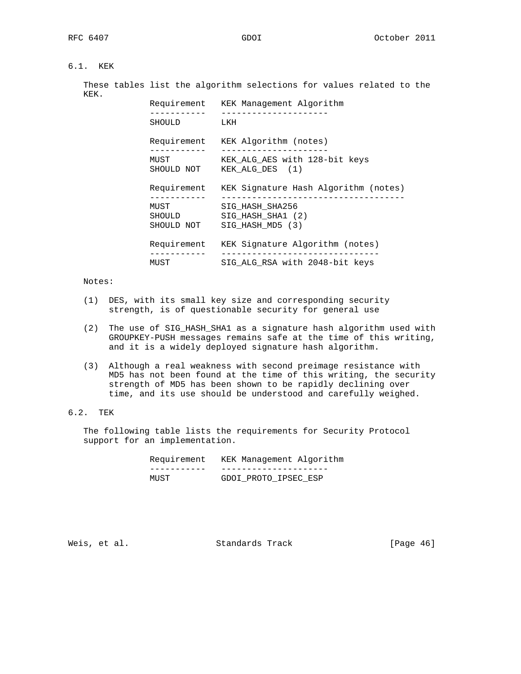# 6.1. KEK

 These tables list the algorithm selections for values related to the KEK.

 Requirement KEK Management Algorithm ------------ --------------------- SHOULD LKH Requirement KEK Algorithm (notes) ----------- --------------------- MUST KEK\_ALG\_AES with 128-bit keys SHOULD NOT KEK\_ALG\_DES (1) Requirement KEK Signature Hash Algorithm (notes) ----------- ------------------------------------ MUST SIG\_HASH\_SHA256 SHOULD SIG\_HASH\_SHA1 (2) SHOULD NOT SIG\_HASH\_MD5 (3) Requirement KEK Signature Algorithm (notes) ----------- ------------------------------- MUST SIG\_ALG\_RSA with 2048-bit keys

## Notes:

- (1) DES, with its small key size and corresponding security strength, is of questionable security for general use
- (2) The use of SIG\_HASH\_SHA1 as a signature hash algorithm used with GROUPKEY-PUSH messages remains safe at the time of this writing, and it is a widely deployed signature hash algorithm.
- (3) Although a real weakness with second preimage resistance with MD5 has not been found at the time of this writing, the security strength of MD5 has been shown to be rapidly declining over time, and its use should be understood and carefully weighed.

## 6.2. TEK

 The following table lists the requirements for Security Protocol support for an implementation.

|      | Requirement KEK Management Algorithm |
|------|--------------------------------------|
|      |                                      |
| MUST | GDOI PROTO IPSEC ESP                 |

Weis, et al. Standards Track [Page 46]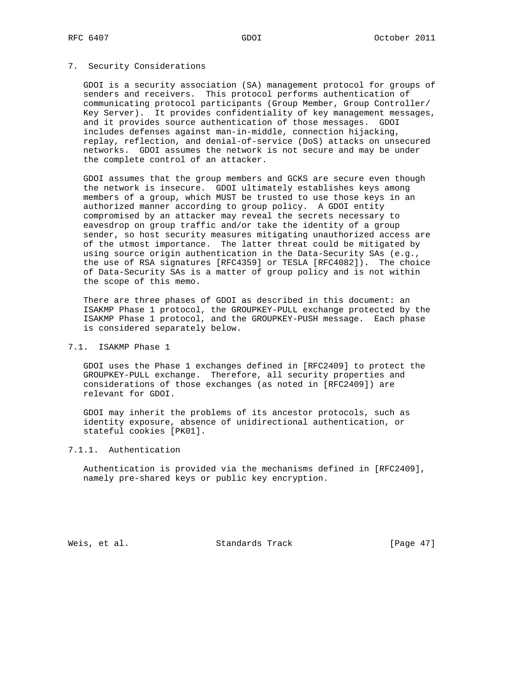#### 7. Security Considerations

 GDOI is a security association (SA) management protocol for groups of senders and receivers. This protocol performs authentication of communicating protocol participants (Group Member, Group Controller/ Key Server). It provides confidentiality of key management messages, and it provides source authentication of those messages. GDOI includes defenses against man-in-middle, connection hijacking, replay, reflection, and denial-of-service (DoS) attacks on unsecured networks. GDOI assumes the network is not secure and may be under the complete control of an attacker.

 GDOI assumes that the group members and GCKS are secure even though the network is insecure. GDOI ultimately establishes keys among members of a group, which MUST be trusted to use those keys in an authorized manner according to group policy. A GDOI entity compromised by an attacker may reveal the secrets necessary to eavesdrop on group traffic and/or take the identity of a group sender, so host security measures mitigating unauthorized access are of the utmost importance. The latter threat could be mitigated by using source origin authentication in the Data-Security SAs (e.g., the use of RSA signatures [RFC4359] or TESLA [RFC4082]). The choice of Data-Security SAs is a matter of group policy and is not within the scope of this memo.

 There are three phases of GDOI as described in this document: an ISAKMP Phase 1 protocol, the GROUPKEY-PULL exchange protected by the ISAKMP Phase 1 protocol, and the GROUPKEY-PUSH message. Each phase is considered separately below.

# 7.1. ISAKMP Phase 1

 GDOI uses the Phase 1 exchanges defined in [RFC2409] to protect the GROUPKEY-PULL exchange. Therefore, all security properties and considerations of those exchanges (as noted in [RFC2409]) are relevant for GDOI.

 GDOI may inherit the problems of its ancestor protocols, such as identity exposure, absence of unidirectional authentication, or stateful cookies [PK01].

# 7.1.1. Authentication

 Authentication is provided via the mechanisms defined in [RFC2409], namely pre-shared keys or public key encryption.

Weis, et al. Standards Track [Page 47]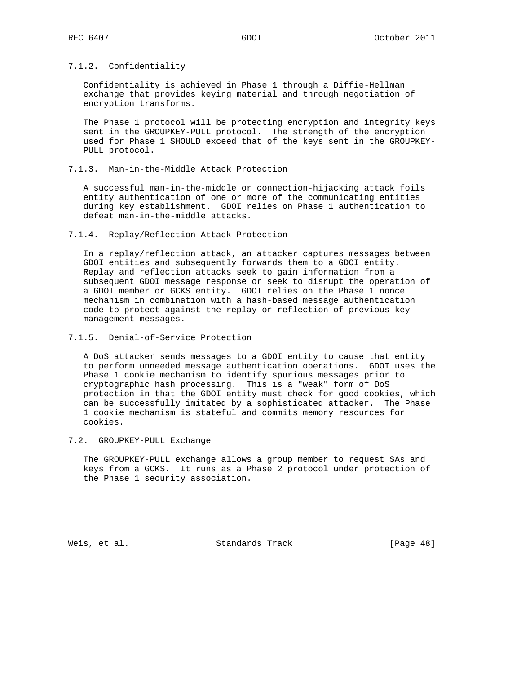## 7.1.2. Confidentiality

 Confidentiality is achieved in Phase 1 through a Diffie-Hellman exchange that provides keying material and through negotiation of encryption transforms.

 The Phase 1 protocol will be protecting encryption and integrity keys sent in the GROUPKEY-PULL protocol. The strength of the encryption used for Phase 1 SHOULD exceed that of the keys sent in the GROUPKEY- PULL protocol.

7.1.3. Man-in-the-Middle Attack Protection

 A successful man-in-the-middle or connection-hijacking attack foils entity authentication of one or more of the communicating entities during key establishment. GDOI relies on Phase 1 authentication to defeat man-in-the-middle attacks.

7.1.4. Replay/Reflection Attack Protection

 In a replay/reflection attack, an attacker captures messages between GDOI entities and subsequently forwards them to a GDOI entity. Replay and reflection attacks seek to gain information from a subsequent GDOI message response or seek to disrupt the operation of a GDOI member or GCKS entity. GDOI relies on the Phase 1 nonce mechanism in combination with a hash-based message authentication code to protect against the replay or reflection of previous key management messages.

7.1.5. Denial-of-Service Protection

 A DoS attacker sends messages to a GDOI entity to cause that entity to perform unneeded message authentication operations. GDOI uses the Phase 1 cookie mechanism to identify spurious messages prior to cryptographic hash processing. This is a "weak" form of DoS protection in that the GDOI entity must check for good cookies, which can be successfully imitated by a sophisticated attacker. The Phase 1 cookie mechanism is stateful and commits memory resources for cookies.

7.2. GROUPKEY-PULL Exchange

 The GROUPKEY-PULL exchange allows a group member to request SAs and keys from a GCKS. It runs as a Phase 2 protocol under protection of the Phase 1 security association.

Weis, et al. Standards Track [Page 48]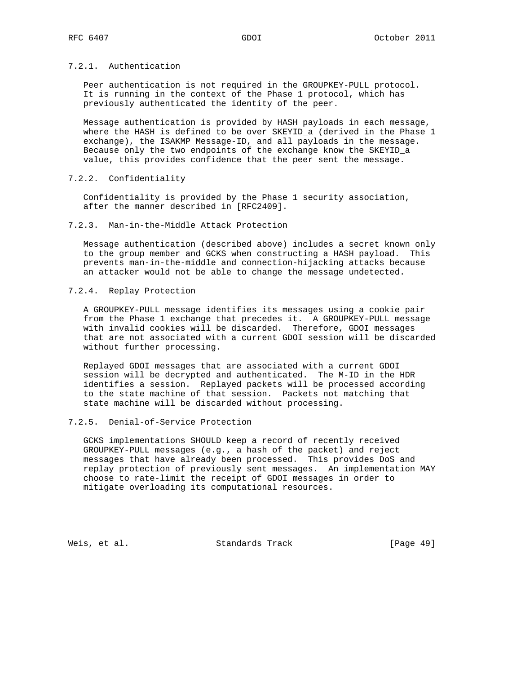## 7.2.1. Authentication

 Peer authentication is not required in the GROUPKEY-PULL protocol. It is running in the context of the Phase 1 protocol, which has previously authenticated the identity of the peer.

 Message authentication is provided by HASH payloads in each message, where the HASH is defined to be over SKEYID\_a (derived in the Phase 1 exchange), the ISAKMP Message-ID, and all payloads in the message. Because only the two endpoints of the exchange know the SKEYID\_a value, this provides confidence that the peer sent the message.

#### 7.2.2. Confidentiality

 Confidentiality is provided by the Phase 1 security association, after the manner described in [RFC2409].

## 7.2.3. Man-in-the-Middle Attack Protection

 Message authentication (described above) includes a secret known only to the group member and GCKS when constructing a HASH payload. This prevents man-in-the-middle and connection-hijacking attacks because an attacker would not be able to change the message undetected.

7.2.4. Replay Protection

 A GROUPKEY-PULL message identifies its messages using a cookie pair from the Phase 1 exchange that precedes it. A GROUPKEY-PULL message with invalid cookies will be discarded. Therefore, GDOI messages that are not associated with a current GDOI session will be discarded without further processing.

 Replayed GDOI messages that are associated with a current GDOI session will be decrypted and authenticated. The M-ID in the HDR identifies a session. Replayed packets will be processed according to the state machine of that session. Packets not matching that state machine will be discarded without processing.

# 7.2.5. Denial-of-Service Protection

 GCKS implementations SHOULD keep a record of recently received GROUPKEY-PULL messages (e.g., a hash of the packet) and reject messages that have already been processed. This provides DoS and replay protection of previously sent messages. An implementation MAY choose to rate-limit the receipt of GDOI messages in order to mitigate overloading its computational resources.

Weis, et al. Standards Track [Page 49]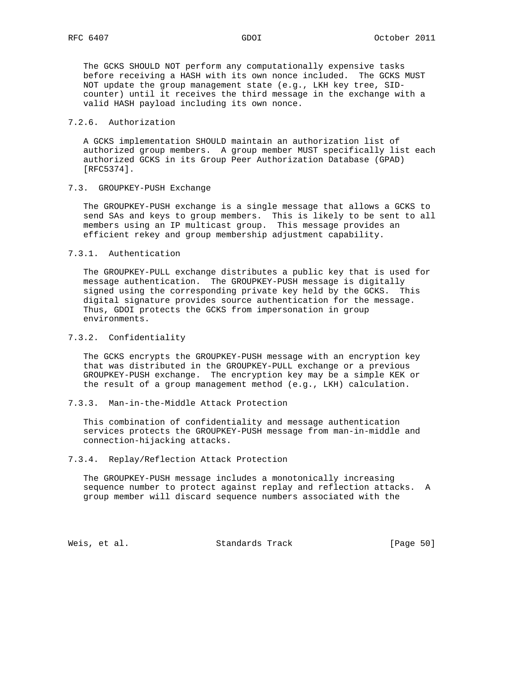The GCKS SHOULD NOT perform any computationally expensive tasks before receiving a HASH with its own nonce included. The GCKS MUST NOT update the group management state (e.g., LKH key tree, SID counter) until it receives the third message in the exchange with a valid HASH payload including its own nonce.

### 7.2.6. Authorization

 A GCKS implementation SHOULD maintain an authorization list of authorized group members. A group member MUST specifically list each authorized GCKS in its Group Peer Authorization Database (GPAD) [RFC5374].

# 7.3. GROUPKEY-PUSH Exchange

 The GROUPKEY-PUSH exchange is a single message that allows a GCKS to send SAs and keys to group members. This is likely to be sent to all members using an IP multicast group. This message provides an efficient rekey and group membership adjustment capability.

## 7.3.1. Authentication

 The GROUPKEY-PULL exchange distributes a public key that is used for message authentication. The GROUPKEY-PUSH message is digitally signed using the corresponding private key held by the GCKS. This digital signature provides source authentication for the message. Thus, GDOI protects the GCKS from impersonation in group environments.

# 7.3.2. Confidentiality

 The GCKS encrypts the GROUPKEY-PUSH message with an encryption key that was distributed in the GROUPKEY-PULL exchange or a previous GROUPKEY-PUSH exchange. The encryption key may be a simple KEK or the result of a group management method (e.g., LKH) calculation.

7.3.3. Man-in-the-Middle Attack Protection

 This combination of confidentiality and message authentication services protects the GROUPKEY-PUSH message from man-in-middle and connection-hijacking attacks.

## 7.3.4. Replay/Reflection Attack Protection

 The GROUPKEY-PUSH message includes a monotonically increasing sequence number to protect against replay and reflection attacks. A group member will discard sequence numbers associated with the

Weis, et al. Standards Track [Page 50]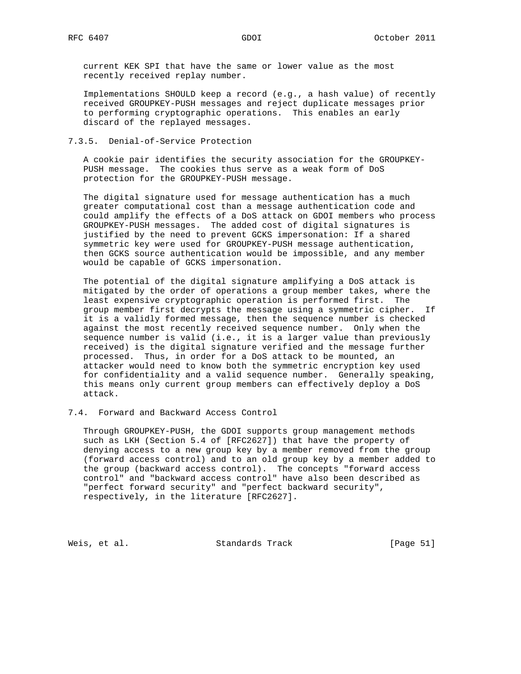current KEK SPI that have the same or lower value as the most recently received replay number.

 Implementations SHOULD keep a record (e.g., a hash value) of recently received GROUPKEY-PUSH messages and reject duplicate messages prior to performing cryptographic operations. This enables an early discard of the replayed messages.

## 7.3.5. Denial-of-Service Protection

 A cookie pair identifies the security association for the GROUPKEY- PUSH message. The cookies thus serve as a weak form of DoS protection for the GROUPKEY-PUSH message.

 The digital signature used for message authentication has a much greater computational cost than a message authentication code and could amplify the effects of a DoS attack on GDOI members who process GROUPKEY-PUSH messages. The added cost of digital signatures is justified by the need to prevent GCKS impersonation: If a shared symmetric key were used for GROUPKEY-PUSH message authentication, then GCKS source authentication would be impossible, and any member would be capable of GCKS impersonation.

 The potential of the digital signature amplifying a DoS attack is mitigated by the order of operations a group member takes, where the least expensive cryptographic operation is performed first. The group member first decrypts the message using a symmetric cipher. If it is a validly formed message, then the sequence number is checked against the most recently received sequence number. Only when the sequence number is valid (i.e., it is a larger value than previously received) is the digital signature verified and the message further processed. Thus, in order for a DoS attack to be mounted, an attacker would need to know both the symmetric encryption key used for confidentiality and a valid sequence number. Generally speaking, this means only current group members can effectively deploy a DoS attack.

## 7.4. Forward and Backward Access Control

 Through GROUPKEY-PUSH, the GDOI supports group management methods such as LKH (Section 5.4 of [RFC2627]) that have the property of denying access to a new group key by a member removed from the group (forward access control) and to an old group key by a member added to the group (backward access control). The concepts "forward access control" and "backward access control" have also been described as "perfect forward security" and "perfect backward security", respectively, in the literature [RFC2627].

Weis, et al. Standards Track [Page 51]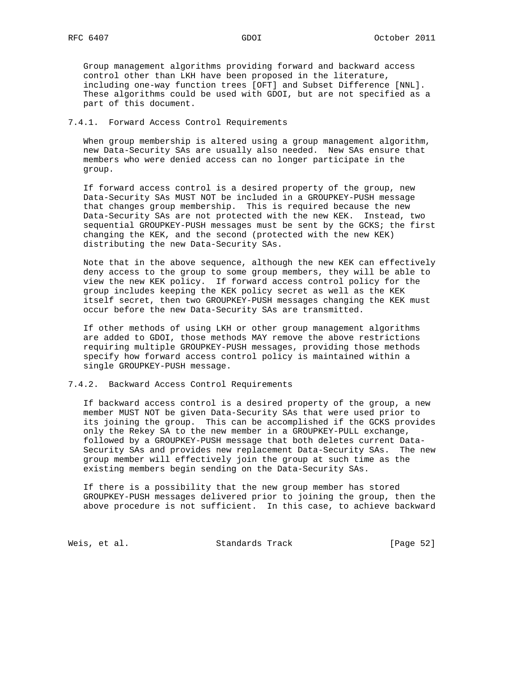Group management algorithms providing forward and backward access control other than LKH have been proposed in the literature, including one-way function trees [OFT] and Subset Difference [NNL]. These algorithms could be used with GDOI, but are not specified as a part of this document.

### 7.4.1. Forward Access Control Requirements

 When group membership is altered using a group management algorithm, new Data-Security SAs are usually also needed. New SAs ensure that members who were denied access can no longer participate in the group.

 If forward access control is a desired property of the group, new Data-Security SAs MUST NOT be included in a GROUPKEY-PUSH message that changes group membership. This is required because the new Data-Security SAs are not protected with the new KEK. Instead, two sequential GROUPKEY-PUSH messages must be sent by the GCKS; the first changing the KEK, and the second (protected with the new KEK) distributing the new Data-Security SAs.

 Note that in the above sequence, although the new KEK can effectively deny access to the group to some group members, they will be able to view the new KEK policy. If forward access control policy for the group includes keeping the KEK policy secret as well as the KEK itself secret, then two GROUPKEY-PUSH messages changing the KEK must occur before the new Data-Security SAs are transmitted.

 If other methods of using LKH or other group management algorithms are added to GDOI, those methods MAY remove the above restrictions requiring multiple GROUPKEY-PUSH messages, providing those methods specify how forward access control policy is maintained within a single GROUPKEY-PUSH message.

#### 7.4.2. Backward Access Control Requirements

 If backward access control is a desired property of the group, a new member MUST NOT be given Data-Security SAs that were used prior to its joining the group. This can be accomplished if the GCKS provides only the Rekey SA to the new member in a GROUPKEY-PULL exchange, followed by a GROUPKEY-PUSH message that both deletes current Data- Security SAs and provides new replacement Data-Security SAs. The new group member will effectively join the group at such time as the existing members begin sending on the Data-Security SAs.

 If there is a possibility that the new group member has stored GROUPKEY-PUSH messages delivered prior to joining the group, then the above procedure is not sufficient. In this case, to achieve backward

Weis, et al. Standards Track [Page 52]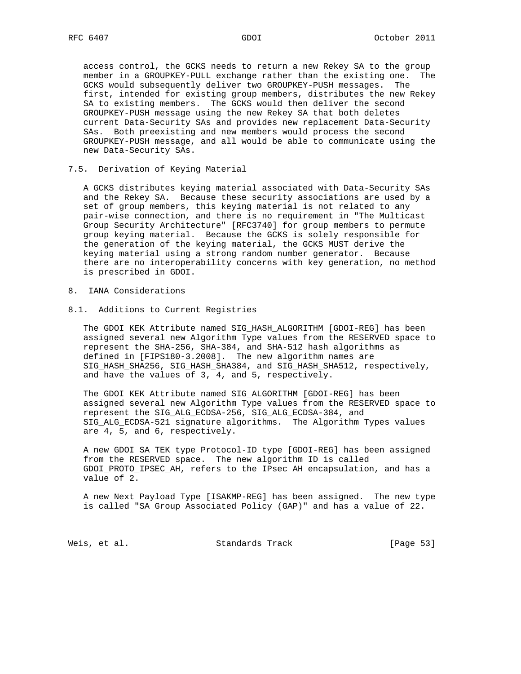access control, the GCKS needs to return a new Rekey SA to the group member in a GROUPKEY-PULL exchange rather than the existing one. The GCKS would subsequently deliver two GROUPKEY-PUSH messages. The first, intended for existing group members, distributes the new Rekey SA to existing members. The GCKS would then deliver the second GROUPKEY-PUSH message using the new Rekey SA that both deletes current Data-Security SAs and provides new replacement Data-Security SAs. Both preexisting and new members would process the second GROUPKEY-PUSH message, and all would be able to communicate using the new Data-Security SAs.

7.5. Derivation of Keying Material

 A GCKS distributes keying material associated with Data-Security SAs and the Rekey SA. Because these security associations are used by a set of group members, this keying material is not related to any pair-wise connection, and there is no requirement in "The Multicast Group Security Architecture" [RFC3740] for group members to permute group keying material. Because the GCKS is solely responsible for the generation of the keying material, the GCKS MUST derive the keying material using a strong random number generator. Because there are no interoperability concerns with key generation, no method is prescribed in GDOI.

- 8. IANA Considerations
- 8.1. Additions to Current Registries

 The GDOI KEK Attribute named SIG\_HASH\_ALGORITHM [GDOI-REG] has been assigned several new Algorithm Type values from the RESERVED space to represent the SHA-256, SHA-384, and SHA-512 hash algorithms as defined in [FIPS180-3.2008]. The new algorithm names are SIG\_HASH\_SHA256, SIG\_HASH\_SHA384, and SIG\_HASH\_SHA512, respectively, and have the values of 3, 4, and 5, respectively.

 The GDOI KEK Attribute named SIG\_ALGORITHM [GDOI-REG] has been assigned several new Algorithm Type values from the RESERVED space to represent the SIG\_ALG\_ECDSA-256, SIG\_ALG\_ECDSA-384, and SIG\_ALG\_ECDSA-521 signature algorithms. The Algorithm Types values are 4, 5, and 6, respectively.

 A new GDOI SA TEK type Protocol-ID type [GDOI-REG] has been assigned from the RESERVED space. The new algorithm ID is called GDOI\_PROTO\_IPSEC\_AH, refers to the IPsec AH encapsulation, and has a value of 2.

 A new Next Payload Type [ISAKMP-REG] has been assigned. The new type is called "SA Group Associated Policy (GAP)" and has a value of 22.

Weis, et al. Standards Track [Page 53]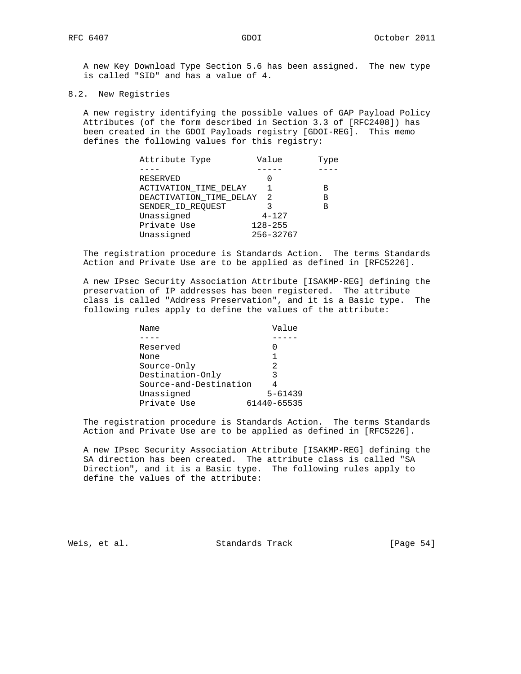A new Key Download Type Section 5.6 has been assigned. The new type is called "SID" and has a value of 4.

8.2. New Registries

 A new registry identifying the possible values of GAP Payload Policy Attributes (of the form described in Section 3.3 of [RFC2408]) has been created in the GDOI Payloads registry [GDOI-REG]. This memo defines the following values for this registry:

| Attribute Type          | Value       | Type |
|-------------------------|-------------|------|
|                         |             |      |
| RESERVED                |             |      |
| ACTIVATION TIME DELAY   |             | в    |
| DEACTIVATION TIME DELAY | 2           | в    |
| SENDER ID REOUEST       |             | в    |
| Unassigned              | $4 - 127$   |      |
| Private Use             | $128 - 255$ |      |
| Unassigned              | 256-32767   |      |

 The registration procedure is Standards Action. The terms Standards Action and Private Use are to be applied as defined in [RFC5226].

 A new IPsec Security Association Attribute [ISAKMP-REG] defining the preservation of IP addresses has been registered. The attribute class is called "Address Preservation", and it is a Basic type. The following rules apply to define the values of the attribute:

| Name                   | Value       |
|------------------------|-------------|
|                        |             |
| Reserved               |             |
| None                   |             |
| Source-Only            | 2           |
| Destination-Only       | 3           |
| Source-and-Destination |             |
| Unassigned             | $5 - 61439$ |
| Private Use            | 61440-65535 |

 The registration procedure is Standards Action. The terms Standards Action and Private Use are to be applied as defined in [RFC5226].

 A new IPsec Security Association Attribute [ISAKMP-REG] defining the SA direction has been created. The attribute class is called "SA Direction", and it is a Basic type. The following rules apply to define the values of the attribute:

Weis, et al. Standards Track [Page 54]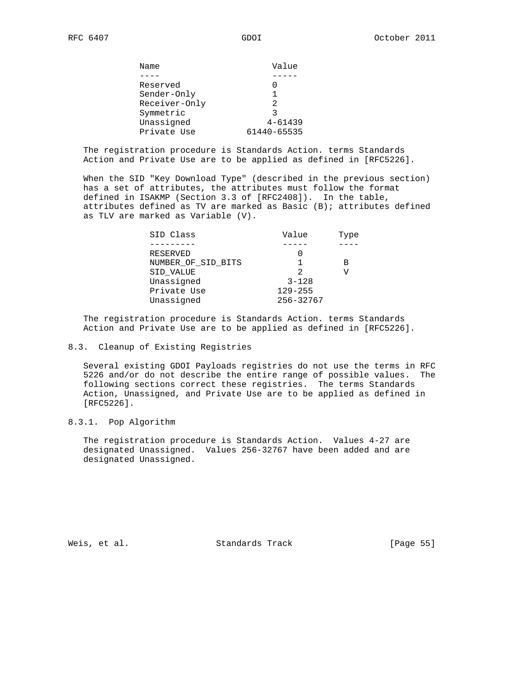| Name          | Value          |
|---------------|----------------|
|               |                |
| Reserved      |                |
| Sender-Only   |                |
| Receiver-Only | $\mathfrak{D}$ |
| Symmetric     | 3              |
| Unassigned    | $4 - 61439$    |
| Private Use   | 61440-65535    |

 The registration procedure is Standards Action. terms Standards Action and Private Use are to be applied as defined in [RFC5226].

 When the SID "Key Download Type" (described in the previous section) has a set of attributes, the attributes must follow the format defined in ISAKMP (Section 3.3 of [RFC2408]). In the table, attributes defined as TV are marked as Basic (B); attributes defined as TLV are marked as Variable (V).

| SID Class          | Value       | Type |
|--------------------|-------------|------|
|                    |             |      |
| RESERVED           |             |      |
| NUMBER OF SID BITS |             | в    |
| SID VALUE          | 2           |      |
| Unassigned         | $3 - 128$   |      |
| Private Use        | $129 - 255$ |      |
| Unassigned         | 256-32767   |      |

 The registration procedure is Standards Action. terms Standards Action and Private Use are to be applied as defined in [RFC5226].

## 8.3. Cleanup of Existing Registries

 Several existing GDOI Payloads registries do not use the terms in RFC 5226 and/or do not describe the entire range of possible values. The following sections correct these registries. The terms Standards Action, Unassigned, and Private Use are to be applied as defined in [RFC5226].

## 8.3.1. Pop Algorithm

 The registration procedure is Standards Action. Values 4-27 are designated Unassigned. Values 256-32767 have been added and are designated Unassigned.

Weis, et al. Standards Track [Page 55]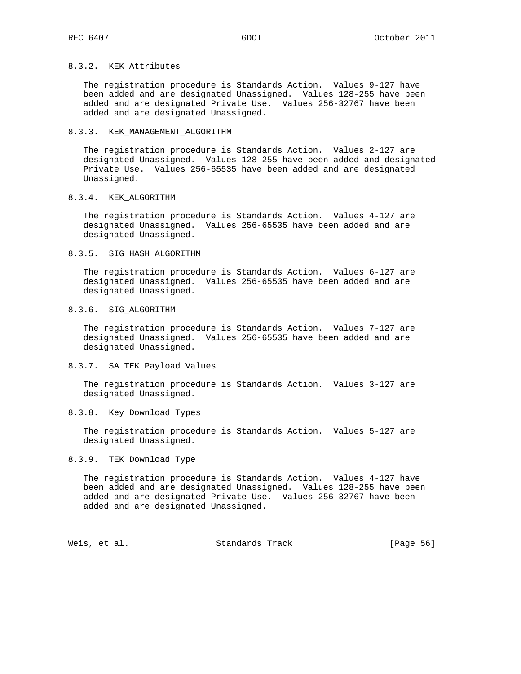## 8.3.2. KEK Attributes

 The registration procedure is Standards Action. Values 9-127 have been added and are designated Unassigned. Values 128-255 have been added and are designated Private Use. Values 256-32767 have been added and are designated Unassigned.

#### 8.3.3. KEK\_MANAGEMENT\_ALGORITHM

 The registration procedure is Standards Action. Values 2-127 are designated Unassigned. Values 128-255 have been added and designated Private Use. Values 256-65535 have been added and are designated Unassigned.

### 8.3.4. KEK\_ALGORITHM

 The registration procedure is Standards Action. Values 4-127 are designated Unassigned. Values 256-65535 have been added and are designated Unassigned.

#### 8.3.5. SIG\_HASH\_ALGORITHM

 The registration procedure is Standards Action. Values 6-127 are designated Unassigned. Values 256-65535 have been added and are designated Unassigned.

#### 8.3.6. SIG\_ALGORITHM

 The registration procedure is Standards Action. Values 7-127 are designated Unassigned. Values 256-65535 have been added and are designated Unassigned.

#### 8.3.7. SA TEK Payload Values

 The registration procedure is Standards Action. Values 3-127 are designated Unassigned.

## 8.3.8. Key Download Types

 The registration procedure is Standards Action. Values 5-127 are designated Unassigned.

## 8.3.9. TEK Download Type

 The registration procedure is Standards Action. Values 4-127 have been added and are designated Unassigned. Values 128-255 have been added and are designated Private Use. Values 256-32767 have been added and are designated Unassigned.

Weis, et al. Standards Track [Page 56]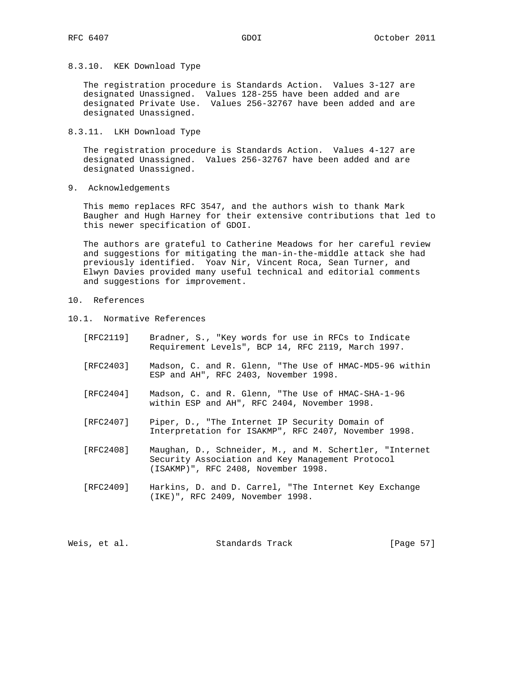## 8.3.10. KEK Download Type

 The registration procedure is Standards Action. Values 3-127 are designated Unassigned. Values 128-255 have been added and are designated Private Use. Values 256-32767 have been added and are designated Unassigned.

8.3.11. LKH Download Type

 The registration procedure is Standards Action. Values 4-127 are designated Unassigned. Values 256-32767 have been added and are designated Unassigned.

9. Acknowledgements

 This memo replaces RFC 3547, and the authors wish to thank Mark Baugher and Hugh Harney for their extensive contributions that led to this newer specification of GDOI.

 The authors are grateful to Catherine Meadows for her careful review and suggestions for mitigating the man-in-the-middle attack she had previously identified. Yoav Nir, Vincent Roca, Sean Turner, and Elwyn Davies provided many useful technical and editorial comments and suggestions for improvement.

## 10. References

10.1. Normative References

| [RFC2119] | Bradner, S., "Key words for use in RFCs to Indicate |  |  |  |  |  |  |
|-----------|-----------------------------------------------------|--|--|--|--|--|--|
|           | Requirement Levels", BCP 14, RFC 2119, March 1997.  |  |  |  |  |  |  |

- [RFC2403] Madson, C. and R. Glenn, "The Use of HMAC-MD5-96 within ESP and AH", RFC 2403, November 1998.
- [RFC2404] Madson, C. and R. Glenn, "The Use of HMAC-SHA-1-96 within ESP and AH", RFC 2404, November 1998.
- [RFC2407] Piper, D., "The Internet IP Security Domain of Interpretation for ISAKMP", RFC 2407, November 1998.
- [RFC2408] Maughan, D., Schneider, M., and M. Schertler, "Internet Security Association and Key Management Protocol (ISAKMP)", RFC 2408, November 1998.
- [RFC2409] Harkins, D. and D. Carrel, "The Internet Key Exchange (IKE)", RFC 2409, November 1998.

|  | Weis, et al. | Standards Track | [Page 57] |  |
|--|--------------|-----------------|-----------|--|
|--|--------------|-----------------|-----------|--|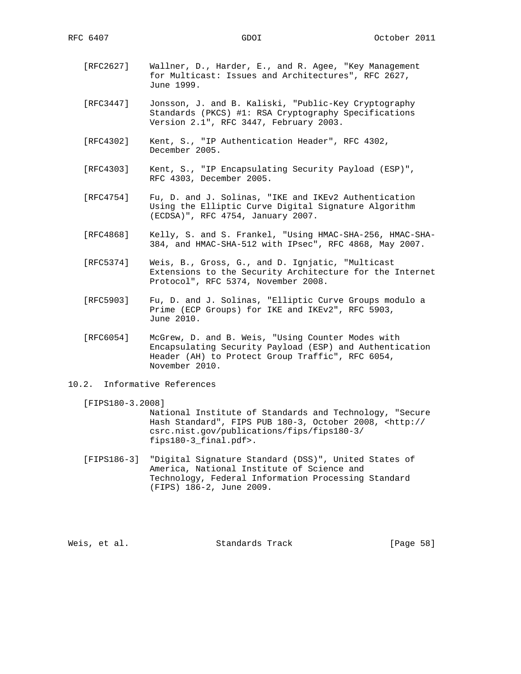- [RFC2627] Wallner, D., Harder, E., and R. Agee, "Key Management for Multicast: Issues and Architectures", RFC 2627, June 1999.
- [RFC3447] Jonsson, J. and B. Kaliski, "Public-Key Cryptography Standards (PKCS) #1: RSA Cryptography Specifications Version 2.1", RFC 3447, February 2003.
- [RFC4302] Kent, S., "IP Authentication Header", RFC 4302, December 2005.
- [RFC4303] Kent, S., "IP Encapsulating Security Payload (ESP)", RFC 4303, December 2005.
- [RFC4754] Fu, D. and J. Solinas, "IKE and IKEv2 Authentication Using the Elliptic Curve Digital Signature Algorithm (ECDSA)", RFC 4754, January 2007.
- [RFC4868] Kelly, S. and S. Frankel, "Using HMAC-SHA-256, HMAC-SHA- 384, and HMAC-SHA-512 with IPsec", RFC 4868, May 2007.
- [RFC5374] Weis, B., Gross, G., and D. Ignjatic, "Multicast Extensions to the Security Architecture for the Internet Protocol", RFC 5374, November 2008.
- [RFC5903] Fu, D. and J. Solinas, "Elliptic Curve Groups modulo a Prime (ECP Groups) for IKE and IKEv2", RFC 5903, June 2010.
- [RFC6054] McGrew, D. and B. Weis, "Using Counter Modes with Encapsulating Security Payload (ESP) and Authentication Header (AH) to Protect Group Traffic", RFC 6054, November 2010.

## 10.2. Informative References

[FIPS180-3.2008]

 National Institute of Standards and Technology, "Secure Hash Standard", FIPS PUB 180-3, October 2008, <http:// csrc.nist.gov/publications/fips/fips180-3/ fips180-3\_final.pdf>.

 [FIPS186-3] "Digital Signature Standard (DSS)", United States of America, National Institute of Science and Technology, Federal Information Processing Standard (FIPS) 186-2, June 2009.

Weis, et al. Standards Track [Page 58]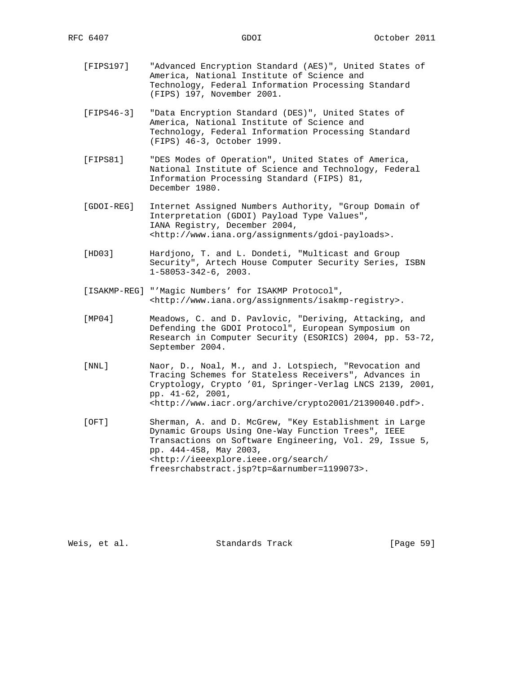- [FIPS197] "Advanced Encryption Standard (AES)", United States of America, National Institute of Science and Technology, Federal Information Processing Standard (FIPS) 197, November 2001.
- [FIPS46-3] "Data Encryption Standard (DES)", United States of America, National Institute of Science and Technology, Federal Information Processing Standard (FIPS) 46-3, October 1999.
- [FIPS81] "DES Modes of Operation", United States of America, National Institute of Science and Technology, Federal Information Processing Standard (FIPS) 81, December 1980.
- [GDOI-REG] Internet Assigned Numbers Authority, "Group Domain of Interpretation (GDOI) Payload Type Values", IANA Registry, December 2004, <http://www.iana.org/assignments/gdoi-payloads>.
- [HD03] Hardjono, T. and L. Dondeti, "Multicast and Group Security", Artech House Computer Security Series, ISBN 1-58053-342-6, 2003.
- [ISAKMP-REG] "'Magic Numbers' for ISAKMP Protocol", <http://www.iana.org/assignments/isakmp-registry>.
- [MP04] Meadows, C. and D. Pavlovic, "Deriving, Attacking, and Defending the GDOI Protocol", European Symposium on Research in Computer Security (ESORICS) 2004, pp. 53-72, September 2004.
- [NNL] Naor, D., Noal, M., and J. Lotspiech, "Revocation and Tracing Schemes for Stateless Receivers", Advances in Cryptology, Crypto '01, Springer-Verlag LNCS 2139, 2001, pp. 41-62, 2001, <http://www.iacr.org/archive/crypto2001/21390040.pdf>.
- [OFT] Sherman, A. and D. McGrew, "Key Establishment in Large Dynamic Groups Using One-Way Function Trees", IEEE Transactions on Software Engineering, Vol. 29, Issue 5, pp. 444-458, May 2003, <http://ieeexplore.ieee.org/search/ freesrchabstract.jsp?tp=&arnumber=1199073>.

Weis, et al. Standards Track [Page 59]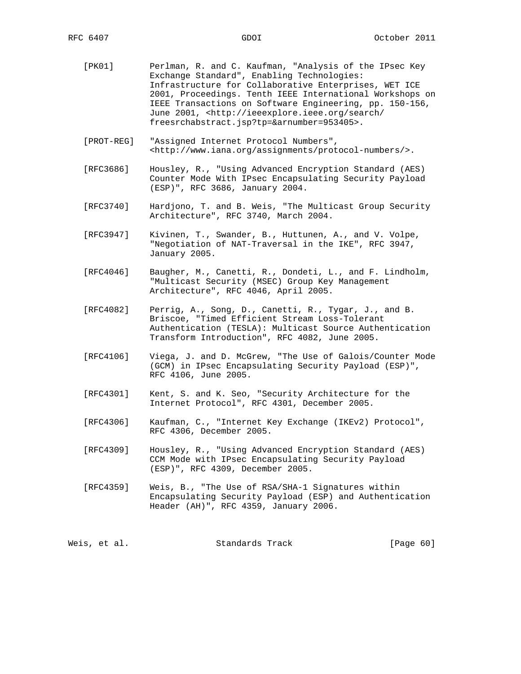- [PK01] Perlman, R. and C. Kaufman, "Analysis of the IPsec Key Exchange Standard", Enabling Technologies: Infrastructure for Collaborative Enterprises, WET ICE 2001, Proceedings. Tenth IEEE International Workshops on IEEE Transactions on Software Engineering, pp. 150-156, June 2001, <http://ieeexplore.ieee.org/search/ freesrchabstract.jsp?tp=&arnumber=953405>.
- [PROT-REG] "Assigned Internet Protocol Numbers", <http://www.iana.org/assignments/protocol-numbers/>.
- [RFC3686] Housley, R., "Using Advanced Encryption Standard (AES) Counter Mode With IPsec Encapsulating Security Payload (ESP)", RFC 3686, January 2004.
- [RFC3740] Hardjono, T. and B. Weis, "The Multicast Group Security Architecture", RFC 3740, March 2004.
- [RFC3947] Kivinen, T., Swander, B., Huttunen, A., and V. Volpe, "Negotiation of NAT-Traversal in the IKE", RFC 3947, January 2005.
- [RFC4046] Baugher, M., Canetti, R., Dondeti, L., and F. Lindholm, "Multicast Security (MSEC) Group Key Management Architecture", RFC 4046, April 2005.
- [RFC4082] Perrig, A., Song, D., Canetti, R., Tygar, J., and B. Briscoe, "Timed Efficient Stream Loss-Tolerant Authentication (TESLA): Multicast Source Authentication Transform Introduction", RFC 4082, June 2005.
- [RFC4106] Viega, J. and D. McGrew, "The Use of Galois/Counter Mode (GCM) in IPsec Encapsulating Security Payload (ESP)", RFC 4106, June 2005.
- [RFC4301] Kent, S. and K. Seo, "Security Architecture for the Internet Protocol", RFC 4301, December 2005.
- [RFC4306] Kaufman, C., "Internet Key Exchange (IKEv2) Protocol", RFC 4306, December 2005.
- [RFC4309] Housley, R., "Using Advanced Encryption Standard (AES) CCM Mode with IPsec Encapsulating Security Payload (ESP)", RFC 4309, December 2005.
- [RFC4359] Weis, B., "The Use of RSA/SHA-1 Signatures within Encapsulating Security Payload (ESP) and Authentication Header (AH)", RFC 4359, January 2006.

Weis, et al. Standards Track [Page 60]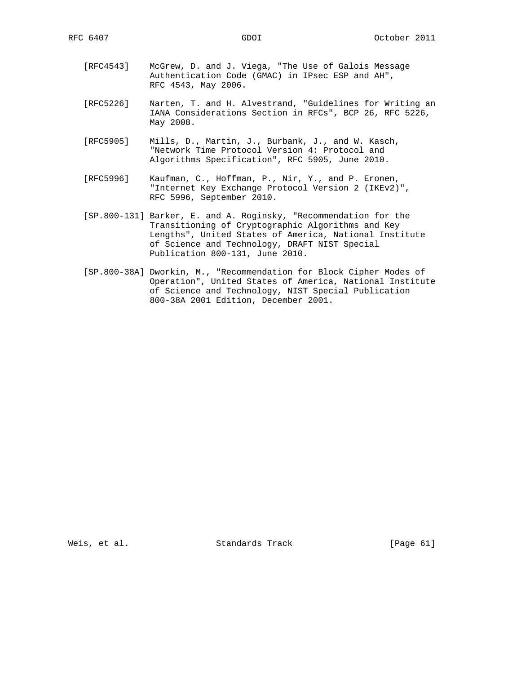- [RFC4543] McGrew, D. and J. Viega, "The Use of Galois Message Authentication Code (GMAC) in IPsec ESP and AH", RFC 4543, May 2006.
- [RFC5226] Narten, T. and H. Alvestrand, "Guidelines for Writing an IANA Considerations Section in RFCs", BCP 26, RFC 5226, May 2008.
- [RFC5905] Mills, D., Martin, J., Burbank, J., and W. Kasch, "Network Time Protocol Version 4: Protocol and Algorithms Specification", RFC 5905, June 2010.
- [RFC5996] Kaufman, C., Hoffman, P., Nir, Y., and P. Eronen, "Internet Key Exchange Protocol Version 2 (IKEv2)", RFC 5996, September 2010.
- [SP.800-131] Barker, E. and A. Roginsky, "Recommendation for the Transitioning of Cryptographic Algorithms and Key Lengths", United States of America, National Institute of Science and Technology, DRAFT NIST Special Publication 800-131, June 2010.
- [SP.800-38A] Dworkin, M., "Recommendation for Block Cipher Modes of Operation", United States of America, National Institute of Science and Technology, NIST Special Publication 800-38A 2001 Edition, December 2001.

Weis, et al. Standards Track [Page 61]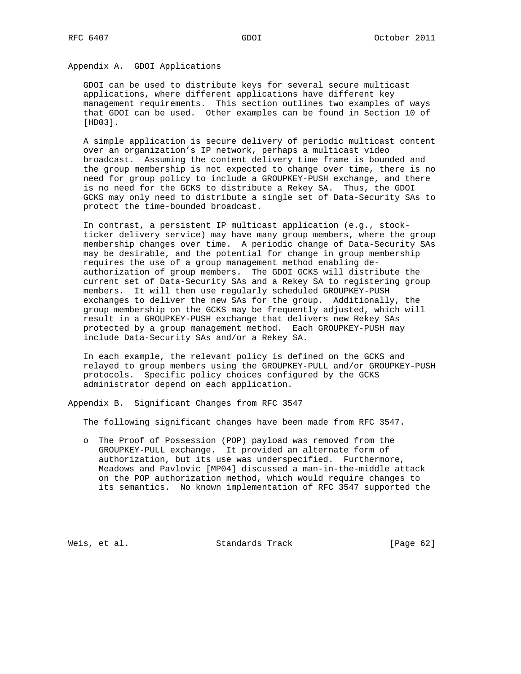Appendix A. GDOI Applications

 GDOI can be used to distribute keys for several secure multicast applications, where different applications have different key management requirements. This section outlines two examples of ways that GDOI can be used. Other examples can be found in Section 10 of [HD03].

 A simple application is secure delivery of periodic multicast content over an organization's IP network, perhaps a multicast video broadcast. Assuming the content delivery time frame is bounded and the group membership is not expected to change over time, there is no need for group policy to include a GROUPKEY-PUSH exchange, and there is no need for the GCKS to distribute a Rekey SA. Thus, the GDOI GCKS may only need to distribute a single set of Data-Security SAs to protect the time-bounded broadcast.

 In contrast, a persistent IP multicast application (e.g., stock ticker delivery service) may have many group members, where the group membership changes over time. A periodic change of Data-Security SAs may be desirable, and the potential for change in group membership requires the use of a group management method enabling de authorization of group members. The GDOI GCKS will distribute the current set of Data-Security SAs and a Rekey SA to registering group members. It will then use regularly scheduled GROUPKEY-PUSH exchanges to deliver the new SAs for the group. Additionally, the group membership on the GCKS may be frequently adjusted, which will result in a GROUPKEY-PUSH exchange that delivers new Rekey SAs protected by a group management method. Each GROUPKEY-PUSH may include Data-Security SAs and/or a Rekey SA.

 In each example, the relevant policy is defined on the GCKS and relayed to group members using the GROUPKEY-PULL and/or GROUPKEY-PUSH protocols. Specific policy choices configured by the GCKS administrator depend on each application.

Appendix B. Significant Changes from RFC 3547

The following significant changes have been made from RFC 3547.

 o The Proof of Possession (POP) payload was removed from the GROUPKEY-PULL exchange. It provided an alternate form of authorization, but its use was underspecified. Furthermore, Meadows and Pavlovic [MP04] discussed a man-in-the-middle attack on the POP authorization method, which would require changes to its semantics. No known implementation of RFC 3547 supported the

Weis, et al. Standards Track [Page 62]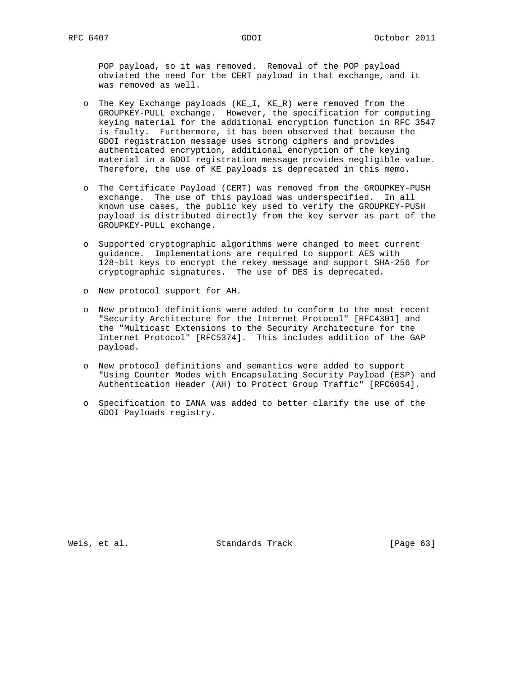POP payload, so it was removed. Removal of the POP payload obviated the need for the CERT payload in that exchange, and it was removed as well.

- o The Key Exchange payloads (KE\_I, KE\_R) were removed from the GROUPKEY-PULL exchange. However, the specification for computing keying material for the additional encryption function in RFC 3547 is faulty. Furthermore, it has been observed that because the GDOI registration message uses strong ciphers and provides authenticated encryption, additional encryption of the keying material in a GDOI registration message provides negligible value. Therefore, the use of KE payloads is deprecated in this memo.
- o The Certificate Payload (CERT) was removed from the GROUPKEY-PUSH exchange. The use of this payload was underspecified. In all known use cases, the public key used to verify the GROUPKEY-PUSH payload is distributed directly from the key server as part of the GROUPKEY-PULL exchange.
- o Supported cryptographic algorithms were changed to meet current guidance. Implementations are required to support AES with 128-bit keys to encrypt the rekey message and support SHA-256 for cryptographic signatures. The use of DES is deprecated.
- o New protocol support for AH.
- o New protocol definitions were added to conform to the most recent "Security Architecture for the Internet Protocol" [RFC4301] and the "Multicast Extensions to the Security Architecture for the Internet Protocol" [RFC5374]. This includes addition of the GAP payload.
- o New protocol definitions and semantics were added to support "Using Counter Modes with Encapsulating Security Payload (ESP) and Authentication Header (AH) to Protect Group Traffic" [RFC6054].
- o Specification to IANA was added to better clarify the use of the GDOI Payloads registry.

Weis, et al. Standards Track [Page 63]